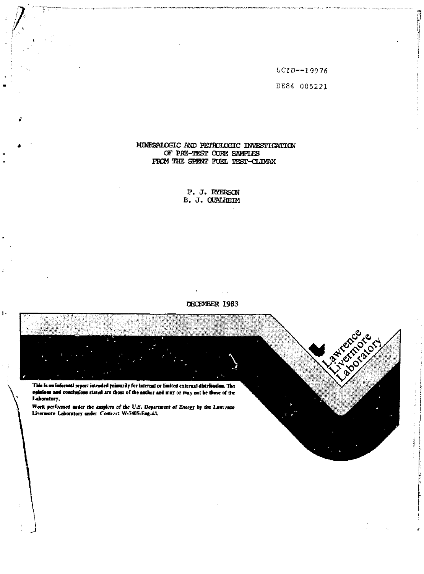UCID--19976 DE84 005221

istrates

## MINERALOGIC AND PETROLOGIC INVESTIGATION OF PRE-TEST CORE SAMPLES FROM THE SPENT FUEL TEST-CLIMAX

F. J. RYERSON B. J. QUALHEIM

## DECEMBER 1983

 $\sim$ 

This is an informal report intended primarily for internal or limited external distribution. The opinions and conclusions stated are those of the author and may or may not be those of the Laboratory. Work performed under the auspices of the U.S. Department of Energy by the Lawsznce Livermore Laboratory under Contract W-7405-Eng-45.

 $\mathbf{I}$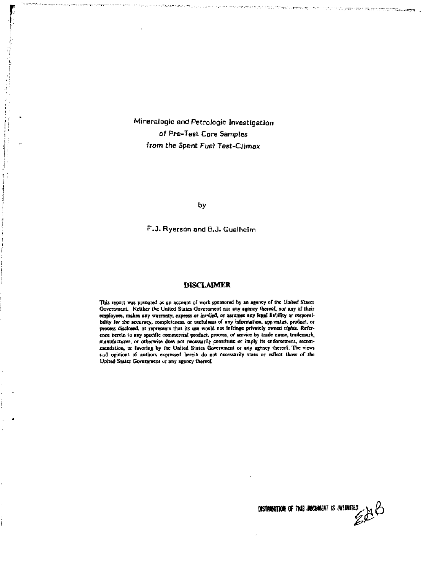Mineralogic and Petrolcgic Investigation of Pre-Test Core Samples from the Spent Fuel Test-Climax

**by** 

F.J. Ryerson and 6.J. Qualheim

#### **DISCLAIMER**

This report was prepared as an account of work sponsored by an agency of the United States Government. Neither the United States Government nor any agency thereof, nor any of their employees, makes any warranty, express or im-died, or assumes any legal lia'/ility or responsibility for the accuracy, completeness, or usefulness of any information, apparatus, product, or<br>process disclosed, or represents that its use would not infringe privately owned rights. Reference herein to any specific commercial product, process, or service by trade name, trademark, manufacturer, or otherwise does not necessarily constitute or imply its endorsement, recom-<br>xoendation, or favoring by the United States Government or any agency thereof. The views *vni* **opinions of authors expressed herein do not necessarily state or reflect those** *of* **the United State; Government 01 any agency thereof.** 

> **nsTnwmM OF THIS** *mmm* **is** *mmm*   $\mathscr{L}^{\beta}$

ן ה<del>מקום בכלל למנוע לי</del>ליים בדיימיון המיני, אורי יידי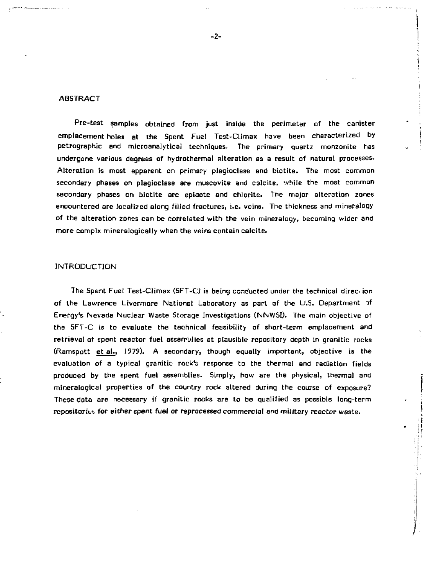#### **ABSTRACT**

Pre-test samples obtained from just inside the perimeter of the canister emplacement holes at the Spent Fuel Test-Climax have been characterized by petrographic and microanalytical techniques- The primary quartz monzonite has undergone various degrees of hydrothermal alteration as a result of natural processes. Alteration is most apparent on primary plagioclase and biotite. The most common secondary phases on plagioclase are muscovite and calcite, while the most common secondary phases on biotite are epidote and chlorite. The major alteration zones encountered are localized along filled fractures, i.e. veins. The thickness and mineralogy of the alteration zones can be correlated with the vein mineralogy, becoming wider and more complx mineralogically when the veins contain calcite.

#### INTRODUCTION

The Spent Fuel Test-Climax (SFT-C) is being conducted under the technical direo ion of the Lawrence Livormore National Laboratory as part of the U.S. Department i f Energy's Nevada Nuclear Waste Storage Investigations (NNWSI). The main objective of the SFT-C is to evaluate the technical feasibility of short-term emplacement and retrieval of spent reactor fuel assemblies at plausible repository depth in granitic rocks (Ramspott et al., 1979). A secondary, though equally important, objective is the evaluation of a typical granitic rock's response to the thermal and radiation fields produced by the spent fuel assemblies. Simply, how are the physical, thermal and mineralogical properties of the country rock altered during the course of exposure? These data are necessary if granitic rocks are to be qualified as possible long-term repositories for either spent fuel or reprocessed commercial and military reactor waste.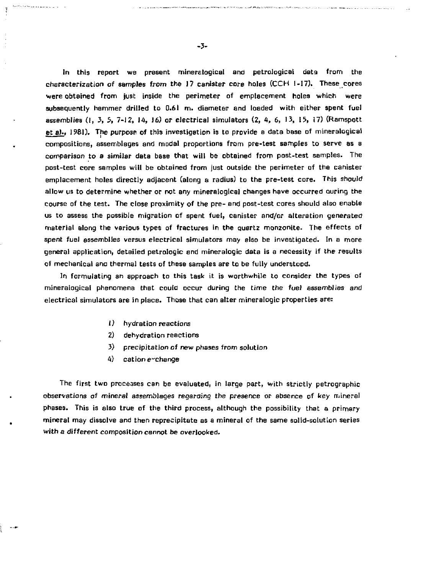In this report we present mineralogical and petrological data from the characterization of samples from the 17 canister core holes (CCH 1-17). These cores were obtained from just inside the perimeter of emplacement holes which were subsequently hammer drilled to 0.61 m. diameter and loaded with either spent fuel assemblies  $(1, 3, 5, 7-12, 14, 16)$  or electrical simulators  $(2, 4, 6, 13, 15, 17)$  (Ramspott et al., 1981). The purpose of this investigation is to provide a data base of mineralogical compositions, assemblages and modal proportions from pre-test samples to serve as a comparison to a similar data base that will be obtained from post-test samples. The post-test core samples will be obtained from just outside the perimeter of the canister emplacement holes directly adjacent (along a radius) to the pre-test core. This should allow us to determine whether or not any mineralogies] changes have occurred auring the course of the test. The close proximity of the pre- and post-test cores should also enable us to assess the possible migration of spent fuel, canister and/or alteration generated material along the various types of fractures in the quartz monzonite. The effects of spent fuel assemblies versus electrical simulators may also be investigated. In a more general application, detailed petrologic and mineralogic data is a necessity if the results of mechanical ana thermal tests of these samples are to be fully understood.

In formulating an approach to this task it is worthwhile to consider the types of mineralogical phenomena that could occur during the time the fuel assemblies and electrical simulators are in place. Those that can alter mineralogic properties are:

- 1) hydration reactions
- 2) dehydration reactions
- 3) precipitation of new phases from solution
- $4)$  cation exchange

The first two processes can be evaluated, in large part, with strictly petrographic observations of mineral assemblages regarding the presence or Bbsence of *key* mineral phases. This is also true of the third process, although the possibility that a primary mineral may dissolve and then reprecipitate as a mineral of the same solid-solution series with *a* different composition cannot be overlooked.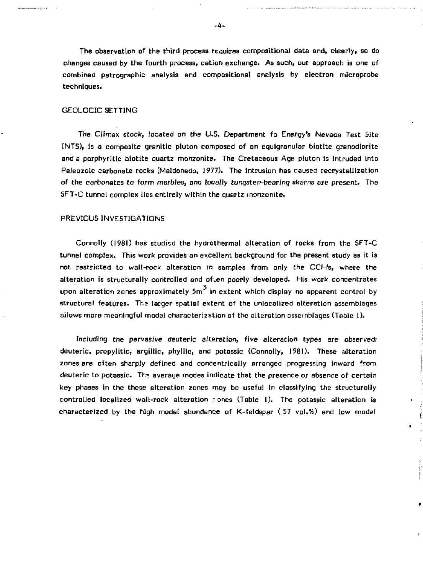The observation of the third process requires compositional data and, clearly, so do changes caused by the fourth process, cation exchange. As such, our approach is one of combined petrographic analysis and compositional analysis by electron micrpprobe techniques.

## GEOLOGIC SETTING

The Climax stock, located on the U.S. Department fo Energy's *Nevada* Test Site (NTS), is a composite granitic pluton composed of an equigrenular biotite granodiorite and a porphyritic biotite quartz monzonite. The Cretaceous Age pluton is intruded into Paleozoic carbonate rocks (Maldonado, 1977). The intrusion has caused recrystallization of the carbonates to form marbles, and locally tungsten-bearing skarns are present. The SFT-C tunnel complex lies entirely within the quartz monzonite.

#### PREVIOUS INVESTIGATIONS

Connolly (1981) has studied the hydrothermal alteration of rocks from the SFT-C tunnel complex. This work provides an excellent background for the present study as it is not restricted to wait-rock alteration in samples from only the CCH's, where the alteration is structurally controlled and often poorly developed. His work concentrates upon alteration zones approximately  $5m^3$  in extent which display no apparent control by structural features. The larger spatial extent of the unlocalized alteration assemblages allows more meaningful modal characterization of the alteration assemblages (Table 1).

Including the pervasive deuteric alteration, five alteration types *are* observed.' deuteric, propylitic, argiltic, phyllic, and potassic (Connolly, 1981). These alteration zones ere often sharply defined and concentrically arranged progressing inward from deuteric to potassic. The average modes indicate that the presence or absence of certain key phases in the these alteration zones may be useful in classifying the structurally controlled localized wall-rock alteration : ones (Table I). The potassic alteration is characterized by the high modal abundance of K-feldspar ( 57 vol.K) and low modal

 $\bullet$ 

p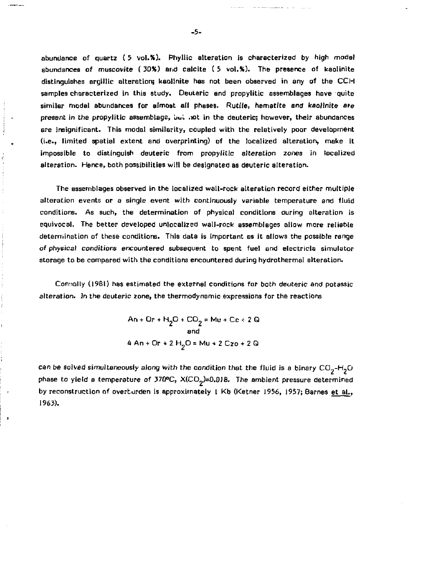abundance of quartz ( 5 vol.S). Phyllic alteration is characterized by high modal abundances of muscovite ( 30%) and calcite ( 5 vol.%). The presence of kaolinite distinguishes argillic alteration; kaolinite has not been observed in any of the CCH samples characterized in this study. Deuteric and propylitic assemblages have quite similar modal abundances for almost all phases. Rutile, hematite and kaolinite are present in the propylitic assemblage, but not in the deuteric; however, their abundances are insignificant. This modal similarity, coupled with the relatively poor development (i.e., limited spatial extent and overprinting) of the localized alteration, make it impossible to distinguish deuteric from propylitic alteration zones in localized alteration. Hence, both possibilities will be designated as deuteric alteration.

The assemblages observed in the localized wall-rock alteration record either multiple alteration events or a single event with continuously variable temperature and fluid conditions. As such, the determination of physical conditions during alteration is equivocal. The better developed unlocalized wall-rock assemblages allow more reliable determination of these conditions. This data is important es it allows the possible range *of* physical conditions encountered subsequent to spent fuel and eiectricia simulator storage to be compared with the conditions encountered during hydrcthermal alteration.

Connolly (1981) has estimated the external conditions for both deuteric and potassic alteration. In the deuteric zone, the thermodynamic expressions for the reactions

> $\mathsf{An}\text{+Or}\text{+H}_{\mathsf{a}}\mathsf{O}\text{+CO}_{\mathsf{a}}\text{=} \mathsf{Mu}\text{+Ce}\text{+}2\mathsf{Q}_{\mathsf{a}}$ and 4 An + Or + 2 H<sub>2</sub>O = Mu + 2 Czo + 2 Q

can be solved simultaneously along with the condition that the fluid is a binary  $CO_2$ -H<sub>2</sub>O phase to yield a temperature of  $370^{\circ}$ C,  $X(CD_2)=0.018$ . The ambient pressure determined by reconstruction of overturden is approximately 1 Kb (Ketner 1956, 1957; Barnes et al., 1963).

 $\overline{\phantom{a}}$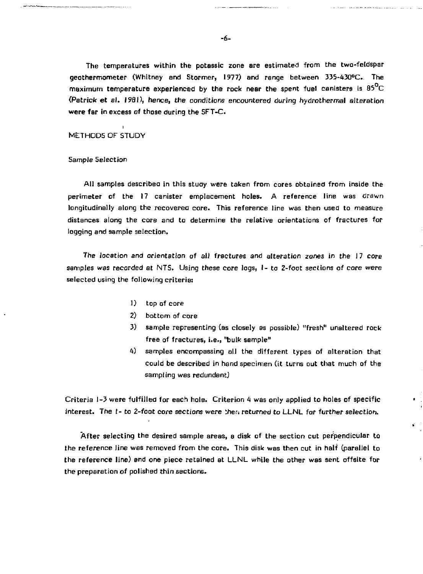The temperatures within the potassic zone are estimated from the two-feldspar geothermometer (Whitney and Stormer, 1977) and range between 335-430°C. The maximum temperature experienced by the rock near the spent fuel canisters is  $85^{\circ}$ C (Patrick et al. 1991), hence, the conditions encountered during hydrothermal alteration were far in excess of those during the SFT-C.

METHODS OF STUDY

Sample Selection

All samples describee in this study were taken from cores obtained from inside the perimeter of the 17 canister emplacement holes. A reference line was drawn longitudinally along the recovered core. This reference line was then used to measure distances along the core and to determine the relative orientations of fractures for logging and sample selection.

The location and orientation of alJ fractures and alteration zones in the 17 core samples was recorded at NTS. Using these core logs, I- to Z-foot sections of core were selected using the following criteria:

- 1) top of core
- 2) bottom of core
- 3) sample representing (as closely as possible) "fresh" unaltered rock free of fractures, i.e., "bulk sample"
- 4) samples encompassing all the different types of alteration that could be described in hand specimen (it turns out that much of the sampling was redundant)

Criteria 1-3 were fulfilled for each hole. Criterion 4 was only applied to holes of specific interest. The I- to 2-foot core sections were then returned to LLNL for further selection.

After selecting the desired sample areas, a disk of the section cut perpendicular to the reference line was removed from the core. This disk was then cut in half (parallel to the reference line) and one piece retained et LLNL while the other was sent offsite for the preparation of polished thin sections.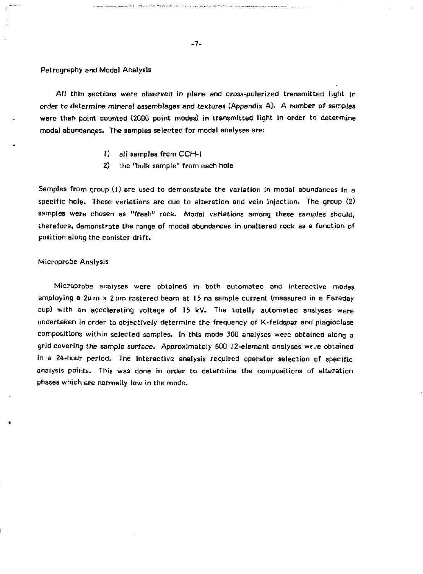#### Petrography and Modal Analysis

All thin sections were observed in plane and cross-polarized transmitted light in order to determine mineral assemblages and textures (Appendix A). A number of samples were then point counted (2000 point modes) in transmitted light in order to determine modal abundanqes. The samples selected for modal analyses are:

- 1) all samples from CCH-I
- 2) the 'bulk sample" from each hole

Samples from group (1) are used to demonstrate the variation in modal abundances in a specific hole. These variations are due to alteration and vein injection. The group (2) samples were chosen as "fresh" rock. Modal variations among these samples should, therefore, demonstrate the range of modal abundances in unaltered rock as a function of position along the canister drift.

#### Microprobe Analysis

Microprobe analyses were obtained in both automated and interactive modes employing a 2pm x 2 um rastered beam at 15 na sample current (measured in a Faraday cup) with an accelerating voltage of 15 kV. The totally automated analyses were undertaken in order to objectively determine the frequency of K-feldspar and plagioclase compositions within selected samples. In this mode 300 analyses were obtained along a grid covering the sample surface. Approximately 600 12-element analyses we/e obtained in a 24-hour period. The interactive analysis required operator selection of specific analysis points. This was done in order to determine the compositions of alteration phases which are normally low in the mode.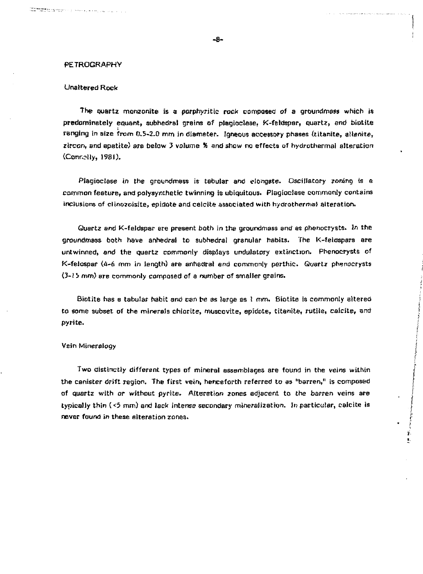## **PETROGRAPHY**

randa de la constitución de la constitución de la constitución de la constitución de la constitución de la con<br>Constitución

## Unaltered Rock

The quartz monzonite is a porphyritic rock composed of a groundmass which is predominately equant, subhedral grains of plagioclase, K-feldspar, quartz, and biotite ranging in sire from 0.5-2.0 mm in diameter. Igneous accessory phases (titanite, allanite, zircon, and apatite) are below 3 volume X and show no effects of hydrothermal alteration (Conrolly, 1981).

Plagioclase in the groundmess is tabular and elongate. Oscillatory zoning is a common feature, and polysynihetic twinning is ubiquitous. Plagioclase commonly contains inclusions qf clino?oisite, epiaote and caicite associated with hydrothermal alteration.

Quartz and K-feldspsr ere present both in the groundmass and as phenocrysts. In the groundmass both have anhedral to subhedral granular habits. The K-feldspars are untwinned, and the quartz commonly displays undulatory extinction. Phenoerysts of K-felospar (4-6 mm in length} are anhedral and commonly perthic. Quartz phenocrysts *(3-1 b mm)* are commonly composed of a number of smaller grains.

Biotite has a tabular habit end can be as large as 1 mm. Biotite is commonly altered to some subset of the minerals chlorite, muscovtte, epidote, titanite, rutiie, calcite, and pyrite.

#### Vein Mineralogy

Two distinctly different types of mineral assemblages are found in the veins within the canister drift region. The first vein, henceforth referred to as "barren," is composed of quartz with *or* without pyrite. Alteration zones adjacent to the barren veins are typically thin (<5 mm) and lack intense secondary mineralization. In particular, calcite is never found in these alteration zones.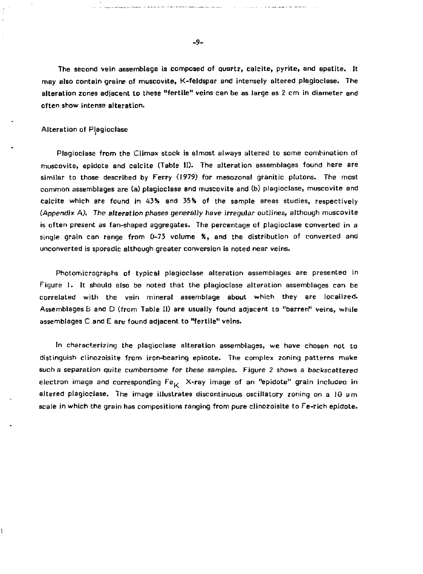The second vein assemblage is composed of quartz, calcite, pyrite, and apatite. It may also contain grains of muscovite, K-feldspar and intensely altered plagioclase. The alteration zones adjacent to these "fertile" veins can be as large as 2 cm in diameter and often show intense alteration.

#### Alteration of Plagioclase

ì

Plagiociase from the Climax stock is almost always altered to some combination of muscovite, epidote and calcite (Table II). The alteration assemblages found here are similar to those described by Ferry (1979) for mesozonal granitic plutons. The most common assemblages are (a) plagioclase and muscovite and (b) plagioclase, muscovite and calcite which are found in 4354 and 35% of the sample areas studies, respectively (Appendix A). The alteration phases generally have irregular outlines, although muscovite is often present as fan-shaped aggregates. The percentage of plagiociase converted in a single grain can range from 0-75 volume *%,* and the distribution of converted and unconverted is sporadic although greater conversion is noted near veins.

Photomicrographs of typical plagioclase alteration assemblages are presented in Figure 1. It should also be noted that the plagioclase alteration assemblages can be correlated with the vein mineral assemblage about which they are localized. Assemblages B and D (from Table II) are usually found adjacent to "barren" veins, while assemblages C and E are found adjacent to "fertile" veins.

In characterizing the plagioclase alteration assemblages, we have chosen not to distinguish clinozoisite from iron-bearing epidote. The complex zoning patterns make such a separation quite cumbersome for these *samples.* Figure 2 shows a backscattered electron image and corresponding  $Fe^{\phantom{0}}_K$  X-ray image of an "epidote" grain included in altered pisgioclase. The image illustrates discontinuous oscillatory zoning on a 10 um scale in which the grain has compositions ranging from pure clinozoisite to Fe-rich epidote.

**-9-**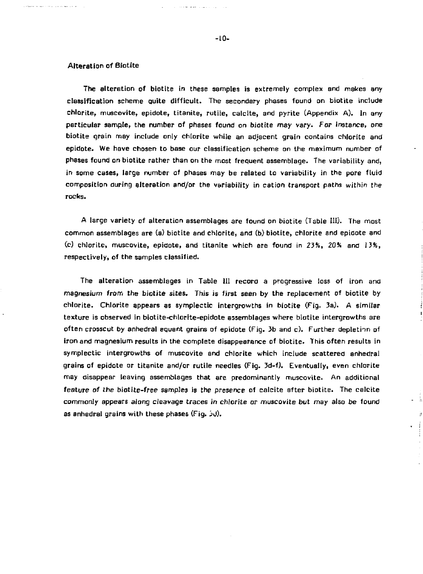#### Alteration of Biotite

The alteration of biotite in these samples is extremely complex and makes any classification scheme quite difficult. The secondary phases found on biotite include chlorite, muscovite, epidote, titanite, rutile, calcite, and pyrite (Appendix A). In any particular sample, the number of phases found on biotite may vary. For instance, one biotite grain may include only chlorite while an adjacent grain contains chlorite and epidote. We have chosen to base our classification scheme on the maximum number of phases found on biotite rather than on the most frequent assemblage. The variability and, in some cases, large number of phases may be related to variability in the pore fluid composition during alteration and/or the variability in cation transport paths within the rocks.

A large variety of alteration assemblages are found on biotite (Table 111). The most common assemblages are (a) biotite and chlorite, and (b) biotite, chlorite and epidote and (c) chlorite, muscovite, epidote, and titanite which are found in *2}%,* 20% and 13%, respectively, of the samples classified.

The alteration assemblages in Table III record a progressive loss of iron and magnesium from the biotite sites. This is first seen by the replacement of biotite by chlorite. Chlorite appears as symplectic intergrowths in biotite (Fig. 3a). A similar texture is observed in biotite-chlorite-epidote assemblages where biatite intergrowths are often crosscut by anhedral equent grains of epidote (Fig. 3b and c). Further depletion of iron and magnesium results in the complete disappearance of biotite. This often results in symplectic intergrowths of muscovite and chlorite which include scattered anhedral grains of epidote or titanite and/or rutile needles (Fig. 3d-f). Eventually, even chlorite may disappear leaving assemblages that are predominantly muscovite. An additional feature of the biotite-free samples is the presence of calcite after biotite. The calcite commonly appears along *cleavage traces* in chlorite or muscovite but may also be found as anhedral grains with these phases (Fig. 3d).

- 1 ä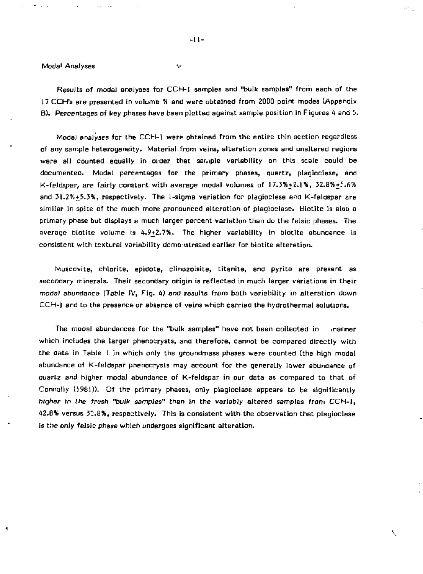#### Moda<sup>1</sup> Analyses v-

Results of modal analyses for CCH-1 samples and "bulk samples" from each of the 17 CCH's are presented in volume S and were obtained from 2000 point modes (Appendix B). Percentages of key phases have been plotted against sample position in Figures A and 5.

**-11-**

Model analyses for the CCH-1 were obtained from the entire thin section regardless of any sample heterogeneity. Material from veins, alteration zones and unaltered regions were all counted equally in order that sample variability on this scale could be documented. Modal percentages for the primary phases, quartz, plagioclase, and  $K$ -feldspar, are fairly constant with average modal volumes of  $17.3\% + 2.1\%$ ,  $32.8\% + 5.6\%$ and 31.2%+5,3%, respectively. The 1-sigma variation for plagioclase and K-feldspar are similar in spite of the much more pronounced alteration of piagioclase. Biotite is also a primary phase but displays a much larger percent variation than do the felsic phases. The average biotite volume is 4.9+2.7%. The higher variability in biotite abundance is consistent with textural variability demonstrated earlier for biotite alteration.

Muscovite, chlorite, epidote, clino2oisite, titanite, and pyrite are present as secondary minerals. Their secondary origin is reflected in much larger variations in their modal abundance (Table IV, Fig. *U)* and results from both variability in alteration down CCH-I and to the presence or absence of veins which carried the hydrothermal solutions.

The modal abundances for the "bulk samples" have not been collected in manner which includes the larger phenocrysts, and therefore, cannot be compared directly with the oata in Table 1 in which only the groundmass phases were counted (the high modal abundance of K-feldspar phenocrysts may account for the generally lower abundance of Quartz and higher modal abundance of K-feldspar in our data as compared to that of Connolly (1981)). Of the primary phases, only plagioclase appears to be significantly *higher in the trash "bulk samples"* than in the variably altered samples from CCH-I, 42.B& versus 3'.8X, respectively. This is consistent with the observation that plagioclase is the only felsic phase which undergoes significant alteration.

Ŕ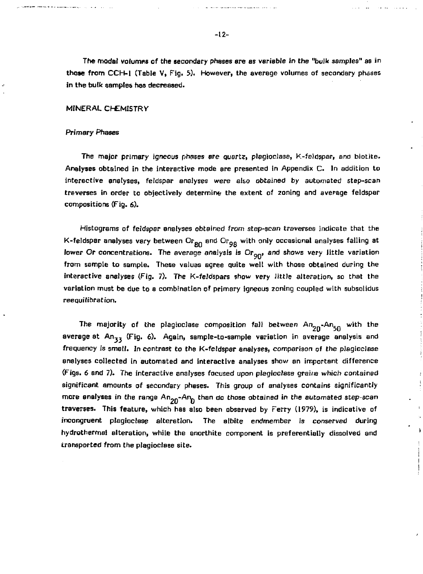The modal volumps of the secondary phases are as variable in the "bulk samples" as in those from CCH-1 (Table V, Fig. 5). However, the average volumes of secondary phases in the bulk samples has decreased.

#### MINERAL CHEMISTRV

#### Primary Phases

The major primary igneous phases are quartz, plegioclase, K-feldspar, and biotite. Analyses obtained in the interactive mode are presented in Appendix C. In addition to interactive analyses, feldspar analyses were also obtained by automated step-scan treverses in order to objectively determine the extent of zoning and average feldspar compositions (Fig. 6).

Histograms of feldspar analyses obtained from step-scan traverses indicate that the K-feldspar analyses vary between  $O_{R\vert \Omega}$  and  $O_{R\vert \Omega}$  with only occasional analyses falling at lower Or concentrations. The average analysis is  $O_{\Gamma_{9\vert \Omega'}}$  and shows very little variation from sample to sample. These values agree quite well with those obtained during the interactive analyses (Fig. 7). The K-feJdspars show very little alteration, so that the variation must be due to a combination of primary igneous zoning coupled with subsolidus reequilibration.

The majority of the plagioclase composition fall between  $An_{2n}$ -An<sub>50</sub> with the average at  $An_{33}$  (Fig. 6). Again, sample-to-sample variation in average analysis and frequency is small. In contrast to the K-feldspar analyses, comparison of the plagioclase analyses collected in automated and interactive analyses show an important difference (Figs. 6 and 7). The interactive analyses focused upon plagicclase grains which contained significant amounts of secondary phases. This group of analyses contains significantly more analyses in the range  $An_{p_0}$ -An<sub>n</sub> than do those obtained in the automated step-scan traverses. This feature, which has also been observed by Ferry (1979), is indicative of incongruent plagioclase alteration. The albite endmember is conserved during hydrothermal alteration, while the anorthite component is preferentially dissolved and transported from the plagiociase site.

 $\lambda$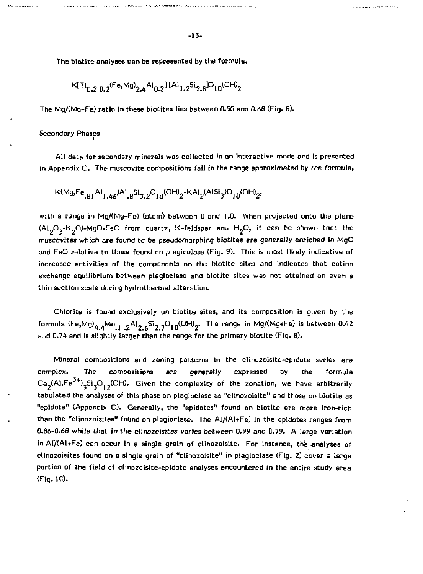The biotite analyses can be represented by the formula,

KtTi 0 . 2 0.2 <Fe ' M 9 ) 2.4 A , 0.2 ][A1 1.2 5 i 2.8 ] O l 0 (OH) 2

The Mg/(Mg+Fe) ratio in these biotites lies between 0.50 and 0.66 (Fig. 8).

#### Secondary Phases

All data for secondary minerals was collected in an interactive mode and is presented in Appendix C. The muscovite compositions fall in the range approximated by the formula,

$$
\kappa(\text{Mg}, \text{Fe}_{.B1}\text{Al}_{1.46})\text{Al}_{.8}\text{Si}_{3.2}\text{O}_{10}(\text{OH})_2 \text{-KAl}_2(\text{AlSi}_3)\text{O}_{10}(\text{OH})_2,
$$

with a range in Mg/(Mg+Fe) (atom) between 0 and 1.0. When projected onto the plane  $(A1<sub>2</sub>O<sub>3</sub>-K<sub>2</sub>O)$ -MgO-FeO from quartz, K-feldspar and H<sub>2</sub>O, it can be shown that the muscovites which are found to be pseudomorphing biotites ere generally enriched in MgO and FeO relative to those found on plagioclase (Fig. 9). This is most likely indicative of increased activities of the components on the biotite sites and indicates that cation exchange equilibrium between plagioclase and biotite sites was not attained on even a thin section scale during hydrothermal alteration.

Chlorite is found exclusively on biotite sites, and its composition is given by the formula (Fe,Mg)  $_{4.4}$ Mn  $_{1.2}$  Al  $_{2.6}$ Si $_{2.7}$ O $_{10}$ (OH) $_{2}$ . The range in Mg/(Mg+Fe) is between 0.42 b.rd 0.74 and is slightly larger than the range for the primary biotite (Fig. 8).

Mineral compositions and zoning patterns in the clinozoisite-epidote series are complex. The compositions are generally expressed by the formula Ca<sub>n</sub>(Al,Fe<sup>x+</sup>),Si,O,,(OH). Given the complexity of the zonation, we have arbitrarily tabulated the analyses of this phase on plagioclase as "clinozoisite" and those on biotite as "epidote" (Appendix C). Generally, the "epidotes" found on biotite are more iron-rich than the "clinozoisites" found on plagioclase. The Al/(A1+Fe) in the epidotes ranges from 0.86-0.68 while that in *the* clinozoisites varies between 0.99 and 0.79. A large variation in AI/(Al+Fe) can occur in a single grain of clinozoisite. For instance, the -analyses of clinozoisites found on a single grain of "clinozoisite" in plagioclase (Fig. *2)* cover a large portion of the field of clinozoisite-epidote analyses encountered in the entire study area (Fig. 10).

**Contract Constitution of the American Property Address Contract Contract Contract Contract Contract Contract Contract Contract Contract Contract Contract Contract Contract Contract Contract Contract Contract Contract Cont**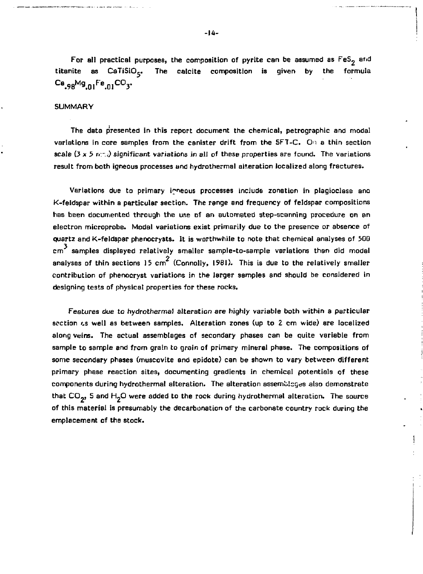For all practical purposes, the composition of pyrite can be assumed as  $FeS<sub>2</sub>$  and titanite as  $CaTiSiO<sub>5</sub>$ . The calcite composition is given by the formula **C a .98 <sup>M</sup> 9.oi F e .o. <sup>c</sup> °y** 

## SUMMARY

The data presented in this report document the chemical, petrographic and modal variations in core samples from the canister drift from the SFT-C. On a thin section scale  $(3 \times 5 \text{ m} \cdot \pi)$  significant variations in all of these properties are found. The variations result from both igneous processes and hydrothermal alteration localized along fractures.

Variations due to primary igneous processes include zonation in plagioclase ano K-feldspar within a particular section. The range end frequency of feldspar compositions has been documented through the use of an automated step-scanning procedure on an electron microprobe. Modal variations exist primarily due to the presence or absence of quartz and K-feldspar phenocrysts. It is worthwhile to note that chemical analyses of 500 cm<sup>3</sup> samples displayed relatively smaller sample-to-sample variations than did modal analyses of thin sections 15 cm<sup>2</sup> (Connolly, 1981). This is due to the relatively smaller contribution of phenocryst variations in the larger samples and should be considered in designing tests of physical properties for these rocks.

Features due to hydrothermal alteration are highly variable both within a particular section  $x$ s well as between samples. Alteration zones (up to 2 cm wide) are localized along veins. The actual assemblages of secondary phases can be quite variable from sample to sample and from grain to grain of primary mineral phase. The compositions of some secondary phases (muscovite and epidote) can be shown to vary between different primary phase reaction sites, documenting gradients in chemical potentials of these components during hydrothermal alteration. The alteration assemblages also demonstrate that  $CO_{22}$ , S and H<sub>2</sub>O were added to the rock during hydrothermal alteration. The source of this material is presumably the decarbonaticn of the carbonate country rock during the emplacement of the stock.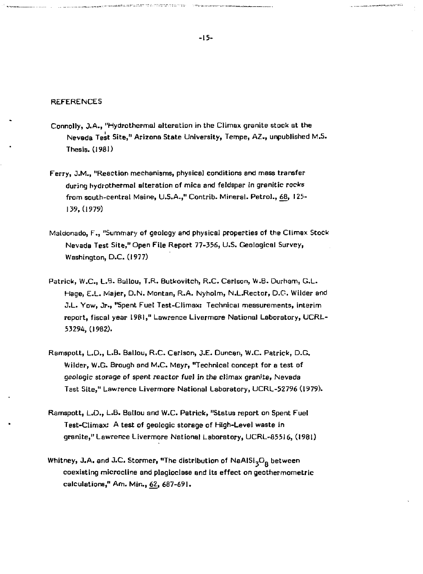#### **REFERENCES**

- Connolly, J.A., "Hydrothermal alteration in the Climax granite stock at the Nevada Test Site," Arizona State University, Tempe, AZ., unpublished M.S. Thesis. (1981)
- Ferry, J.M., "Reaction mechanisms, physical conditions and mass transfer during hydrothermal alteration of mica and feldspar in granitic rocks from south-central Maine, U.S.A.," Contrib. Mineral. Petrol., 68, 125- 139,(1979)
- Maldonado, F., "Summary of geology and physical properties of the Climax Stock Nevada Test Site," Open File Report 77-356, U.S. Geological Survey, Washington, D.C. (1977)
- Patrick, W.C., L.B. Ballou, T.R. Butkovitch, R.C. Carlson, W.B. Durham, G.L. Hage, E.L. Majer, D.N. Montan, R.A. Nyholm, N.L.Rector, D.G. Wilder and J.L. Yow, Jr., "Spent Fuel Test-Climax: Technical measurements, interim report, fiscal year 1981," Lawrence Livermore National Laboratory, UCRL-53294,(1982).
- Ramspott, L.D., L.B. Ballou, R.C. Carlson, J.E. Duncan, W.C. Patrick, D.G. Wilder, W.G. Brough and M.C. Mayr, "Technical concept for a test of geologic storage of spent reactor fuel in the climax granite, Nevada Test Site," Lawrence Livermore National Laboratory, UCRL-52796 (1979).
- Ramspott, L.D., L.B. Batlou and W.C. Patrick, "Status report on Spent Fuel Test-Climax: A test of geologic storage of High-Level waste in granite," Lawrence Livermore National Laboratory, UCRL-85516, (1981)
- Whitney, J.A. and J.C. Stormer, "The distribution of  $\text{NaAlSi}_2\text{O}_8$  between coexisting microcline and plagioclase and its effect on geothermometric calculations," Am. Min., 62, 687-691.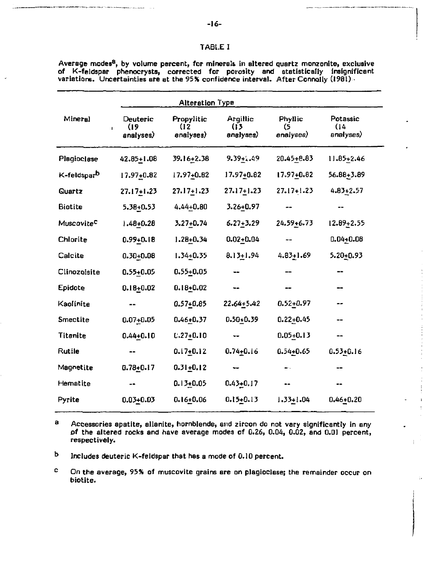|                           |                               | <b>Alteration Type</b>          |                               |                            |                               |
|---------------------------|-------------------------------|---------------------------------|-------------------------------|----------------------------|-------------------------------|
| Mineral<br>$\blacksquare$ | Deuteric<br>(19)<br>analyses) | Propylitic<br>(12)<br>analyses) | Argillic<br>(13)<br>analyses) | Phyllic<br>(5<br>analyses) | Potassic<br>(14)<br>analyses) |
| Plagioclase               | 42.85+1.08                    | 39.16+2.38                      | $9.39 + 4.49$                 | 20.45+8.83                 | $11.85 + 2.46$                |
| K-feldspar <sup>b</sup>   | 17.97+0.82                    | 17.97+0.82                      | $17.97 + 0.82$                | 17.97+0.82                 | 56.88+3.89                    |
| Quartz                    | $27.17 + 1.23$                | 27.17+1.23                      | $27.17 + 1.23$                | 27.17+1.23                 | $4.83 + 2.57$                 |
| <b>Biotite</b>            | $5.38 + 0.53$                 | 4.44+0.80                       | 3.26+0.97                     |                            |                               |
| Muscovite <sup>C</sup>    | $1.48 + 0.28$                 | 3.27+0.74                       | $6.27 + 3.29$                 | 24.59-6.73                 | 12.09+2.55                    |
| Chlorite                  | $0.99 + 0.18$                 | $1.28 + 0.34$                   | $0.02 + 0.04$                 |                            | $0.04 + 0.08$                 |
| Calcite                   | $0.30 + 0.08$                 | 1.34+0.35                       | $8.13 + 1.94$                 | $4.83 + 1.69$              | $5.20 - 0.93$                 |
| Clinozoisite              | 0.55+0.05                     | $0.55 + 0.05$                   | $- -$                         |                            | --                            |
| Epidote                   | $0.18 + 0.02$                 | $0.18 + 0.02$                   |                               |                            |                               |
| Kaolinite                 |                               | $0.57 + 0.85$                   | $22.64 + 5.42$                | $0.52 + 0.97$              |                               |
| Smectite                  | $0.07 + 0.05$                 | $0.46 + 0.37$                   | $0.50 - 0.39$                 | $0.22 + 0.45$              |                               |
| <b>Titanite</b>           | $0.44 + 0.10$                 | $0.27 + 0.10$                   |                               | 0.05+0.13                  |                               |
| Rutile                    |                               | $0.17 + 0.12$                   | $0.74 + 0.16$                 | 0.54+0.65                  | $0.53 + 0.16$                 |
| Magnetite                 | $0.78 + 0.17$                 | $0.31 + 0.12$                   | $\overline{\phantom{a}}$      |                            |                               |
| Hematite                  |                               | $0.13 + 0.05$                   | $0.43 + 0.17$                 |                            |                               |
| Pyrite                    | $0.03 + 0.03$                 | $0.16 + 0.06$                   | $0.15 + 0.13$                 | 1.33+1.04                  | 0.46+0.20                     |

Average modes<sup>u</sup>, by volume percent, for minerals in altered quartz monzonite, exclusive of K-feldspar phenocrysts, corrected for porosity and statistically insignificant variations. Uncertainties are at the 95% confidence interval. After Connolly (1981)

8 Accessories apatite, allenite, hornblende, and zircon do not vary significantly in any of the altered rocks and have average modes of 0.26, 0.04, 0.02, and 0.01 percent, respectively.

÷.

D Includes deuteric K-feldspar that has a mode of 0.10 percent.

c On the average, 95% of muscovite grains are on plagioclase; the remainder occur on biotite.

TABi.E I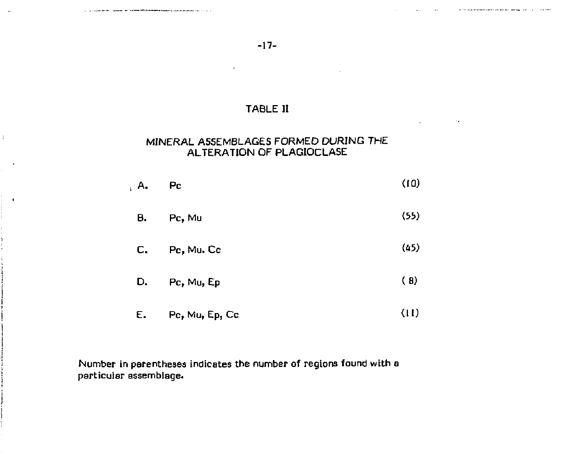$\sim$  .

÷.

 $\cdot$ 

**Contract Contract** 

 $\sim 100$ 

**-17-**

## TABLE II

## MINERAL ASSEMBLAGES FORMED DURING THE ALTERATION OF PLAGIOCLASE

| , A. Pc |           | (IU) |
|---------|-----------|------|
|         | B. Pc, Mu | (55) |

- $C.$  Pc, Mu.  $Cc$  (45)
- D. Pc, Mu,  $Ep$  (8)
- E. Pc, Mu, Ep, Cc (10

Number in parentheses indicates the number of regions found with s particular assemblage.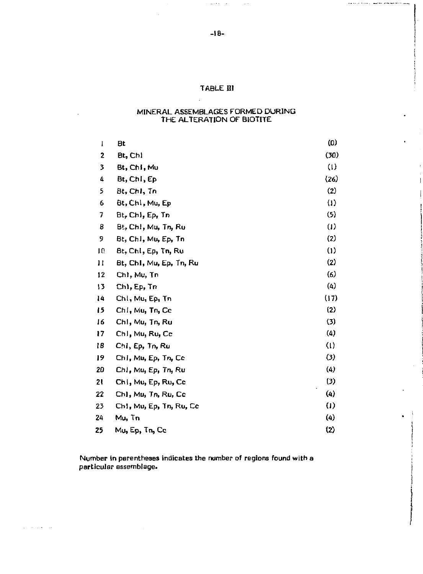## **TABLE HI**

## MINERAL ASSEMBLAGES FORMED DURING THE ALTERATION OF BIOTITE

| 1  | Bt                      | (0)                        |
|----|-------------------------|----------------------------|
| 2  | Bt, Chi                 | (30)                       |
| 3  | Bt, Chi, Mu             | (1)                        |
| 4  | Bt, Chl, Ep             | (26)                       |
| 5  | Bt, Chl, Tn             | (2)                        |
| 6  | Bt, Chl, Mu, Ep         | $_{(1)}$                   |
| 7  | Bt, Chl, Ep, Tn         | (5)                        |
| 8  | Bt, Ch!, Mu, Tn, Ru     | $\left( \mathbf{I}\right)$ |
| 9  | Bt, Ch1, Mu, Ep, Tn     | (2)                        |
| 10 | Bt, Chi, Ep, Tn, Ru     | (1)                        |
| 11 | Bt, Chl, Mu, Ep, Tn, Ru | (2)                        |
| 12 | Chl, Mu, Tn             | (6)                        |
| 13 | Chl, Ep, Tn             | (4)                        |
| 14 | Chi, Mu, Ep, Tn         | (17)                       |
| 15 | Chi, Mu, Tn, Cc         | (2)                        |
| 16 | Chl, Mu, Tn, Ru         | (3)                        |
| 17 | Ch1, Mu, Ru, Cc         | (4)                        |
| 18 | Chi, Ep, Tn, Ru         | $\langle \,   \, \rangle$  |
| 19 | Chi, Mu, Ep, Tn, Ce     | $\bf{5}$                   |
| 20 | Ch1, Mu, Ep, Tn, Ru     | (4)                        |
| 21 | Chi, Mu, Ep, Ru, Cc     | (3)                        |
| 22 | Ch1, Mu, Tn, Ru, Cc     | $\left( 4 \right)$         |
| 23 | Ch1, Mu, Ep, Tn, Ru, Cc | $\left( 1\right)$          |
| 24 | Mu, Tn                  | $\left( 4\right)$          |
| 25 | Mu, Ep, Tn, Cc          | (2)                        |

**Number in parentheses indicates the number of regions found with a particular assemblage.** 

 $\sqrt{1-\lambda}$  , and  $\lambda\sim 1$  are

 $\omega$  ,  $\epsilon$  ,  $\omega$  ,  $\epsilon$ 

 $\sim$ 

والمحصب المتنام والتعويد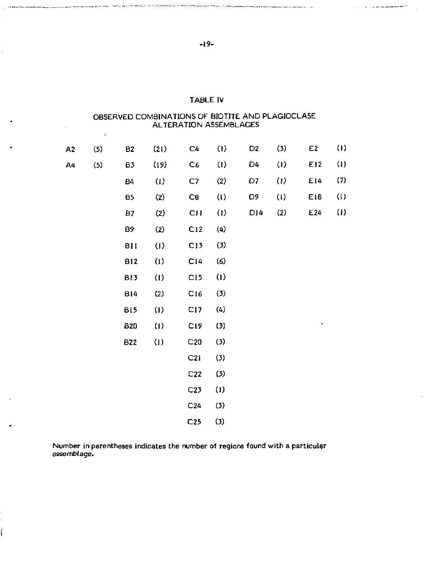|    | $\mathbf{I}$ |            |                   | ALTERATION ASSEMBLAGES |                   |                |                            |     |                   |
|----|--------------|------------|-------------------|------------------------|-------------------|----------------|----------------------------|-----|-------------------|
| A2 | (5)          | <b>B2</b>  | (21)              | C4                     | (1)               | D <sub>2</sub> | (3)                        | E2  | $\left( 1\right)$ |
| Α4 | (5)          | 83         | (19)              | C6                     | $\left( 1\right)$ | D4             | $\langle 1 \rangle$        | E12 | $\left(1\right)$  |
|    |              | 84         | (1)               | C7                     | (2)               | D7             | $\left( \mathbf{I}\right)$ | E14 | (7)               |
|    |              | <b>B5</b>  | (2)               | CB                     | $\bf{u}$          | D9             | (1)                        | E18 | $\left( 1\right)$ |
|    |              | 87         | (2)               | CII                    | $\left( 1\right)$ | D)4            | (2)                        | E24 | $\left( 1\right)$ |
|    |              | 89         | (2)               | C12                    | (4)               |                |                            |     |                   |
|    |              | <b>BII</b> | (1)               | C13                    | $(3)$             |                |                            |     |                   |
|    |              | <b>B12</b> | (1)               | C14                    | (6)               |                |                            |     |                   |
|    |              | BI3        | (1)               | C <sub>15</sub>        | $\left( 1\right)$ |                |                            |     |                   |
|    |              | <b>B14</b> | (2)               | C16                    | (3)               |                |                            |     |                   |
|    |              | BI5        | $\left( 1\right)$ | CI <sub>7</sub>        | (4)               |                |                            |     |                   |
|    |              | <b>B20</b> | (1)               | C <sub>19</sub>        | (3)               |                |                            | ٠   |                   |
|    |              | B22        | (1)               | C20                    | (3)               |                |                            |     |                   |
|    |              |            |                   | C21                    | (3)               |                |                            |     |                   |
|    |              |            |                   | C22                    | (3)               |                |                            |     |                   |
|    |              |            |                   | C <sub>23</sub>        | (1)               |                |                            |     |                   |
|    |              |            |                   | C <sub>24</sub>        | (3)               |                |                            |     |                   |
|    |              |            |                   | C25                    | $(3)$             |                |                            |     |                   |

## TABLE IV

# OBSERVED COMBINATIONS OF BIOTITE AND PLAGIOCLASE

Number in parentheses indicates the number of regions found with a particular assemblage.

 $\bullet$ 

ł

 $\mathcal{L}^{\text{max}}$  and the constraint constraints of the  $\mathcal{O}(2)$ 

Annumeration and the company of the state of the SER WEIT TELL SERVER ENTERTATION THE CONTROLLER SERVER AND THE SERVER OF THE SERVER OF THE SERVER OF THE SERVER OF THE SERVER OF THE SERVER OF THE SERVER OF THE SERVER OF TH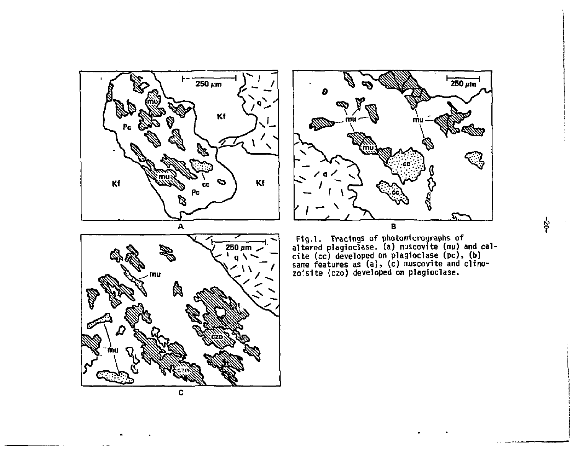





 $\sim$   $\sim$ 



နိ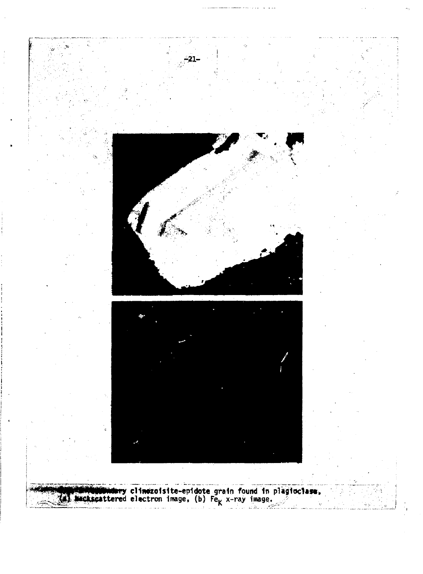

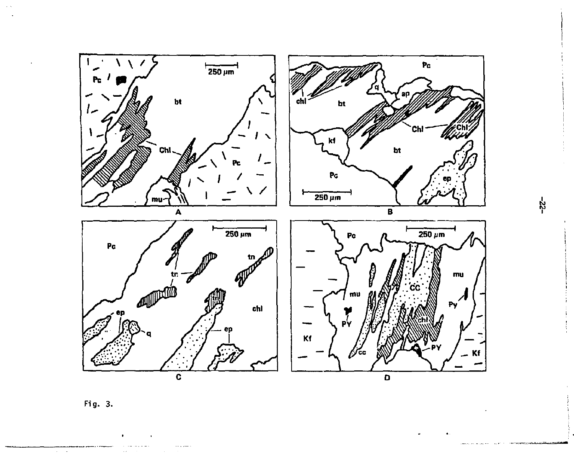

Fig. 3.

 $\cdots$ 

Terra

**Contract Administration** 

and in

÷,

 $-25-$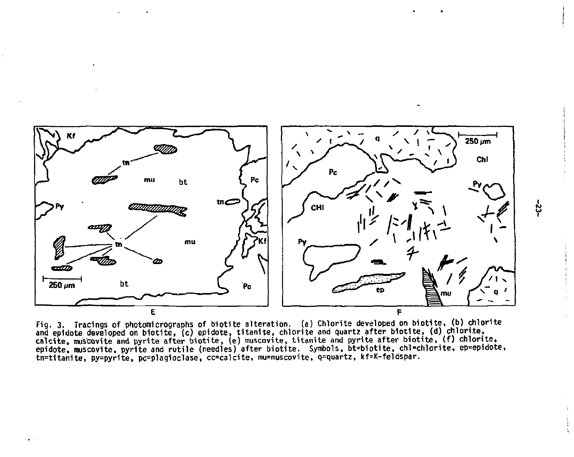

Fig. 3. Tracings of photomicrographs of biotite alteration, (a) Chlorite developed on biotite, (b) chlorite and epidote developed on biotite, (c) epidote, titanite, chlorite and quartz after biotite, (d) chlorite,<br>calcite, muscovite and pyrite after biotite, (e) muscovite, titanite and pyrite after biotite, (f) chlorite,<br>epidote tn=titanite, py=pyrite, pc=plagioclase, cc=calcite, mu=muscovite, q=quartz, kf=K-feldspar.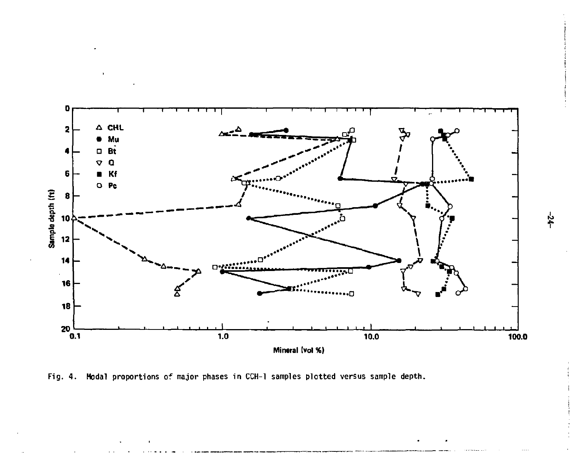

Fig. 4. Modal proportions of major phases in CCH-1 samples plotted versus sample depth.

 $-24-$ 

**!**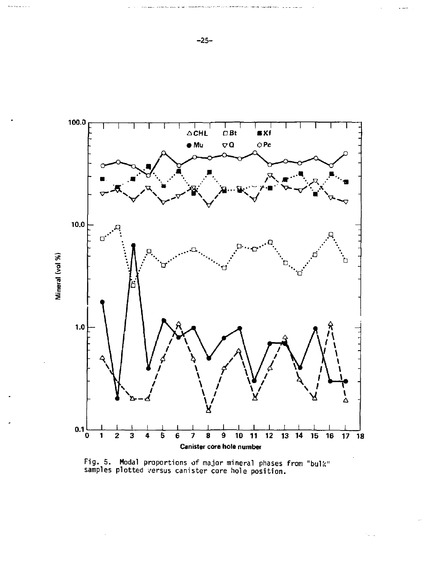

Fig. 5. Modal proportions of major mineral phases from "bull! samples plotted versus canister core hole position.

-25-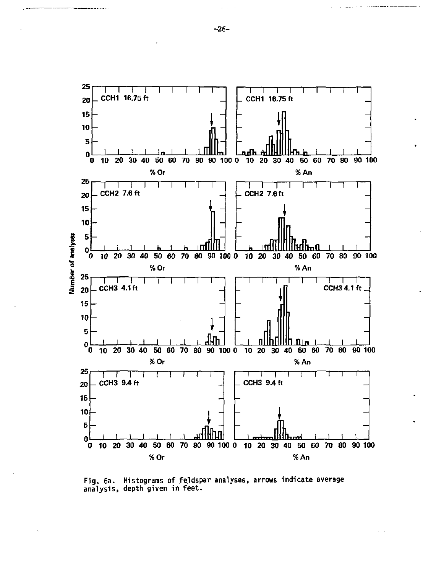

**Fig. 6a. Histograms of feldspar analyses, arrows indicate average analysis, depth given in feet.** 

**-26-**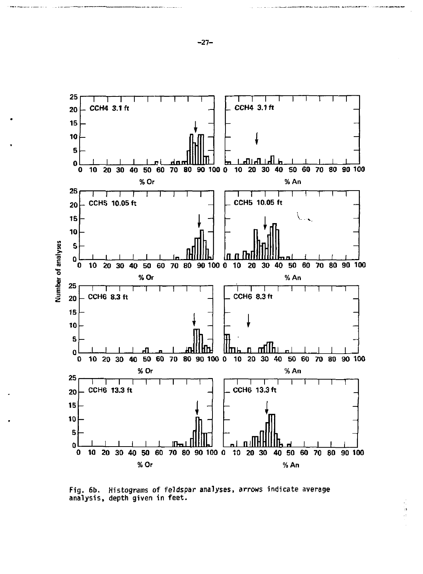

**Fig. 6b. Histograms of feldspar analyses, arrows indicate average analysis, depth given in feet.**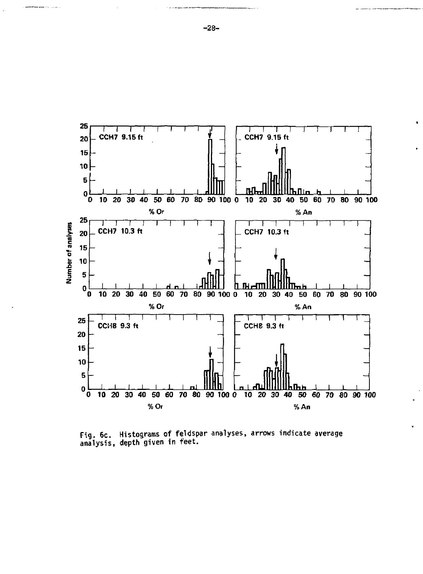

**Fig. 6c. Histograms of feldspar analyses, arrows indicate average analysis, depth given in feet.** 

**-28-**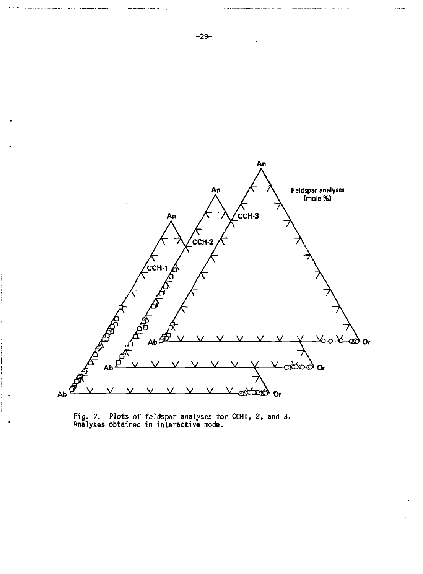

**Fig. 7. Plots of feldspar analyses for CCHl, 2, and 3. Analyses obtained in interactive mode.**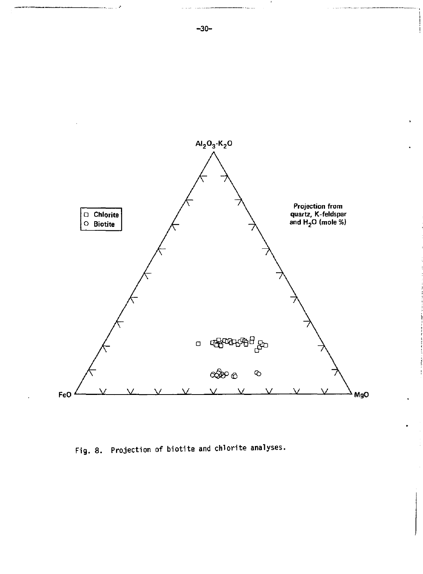

Fig. 8. Projection of biotite and chlorite analyses.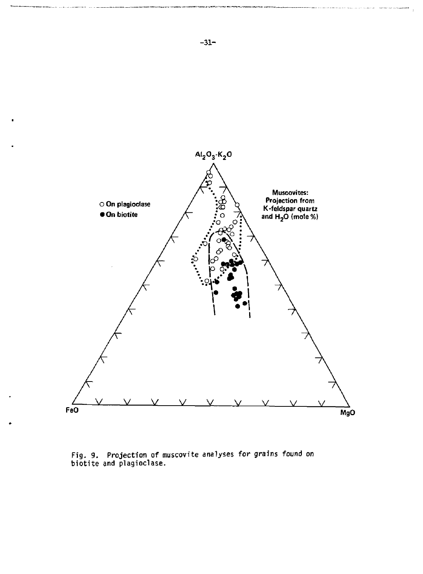

**Fig. 9. Projection of muscovite analyses for grains found on biotite and plagioclase.**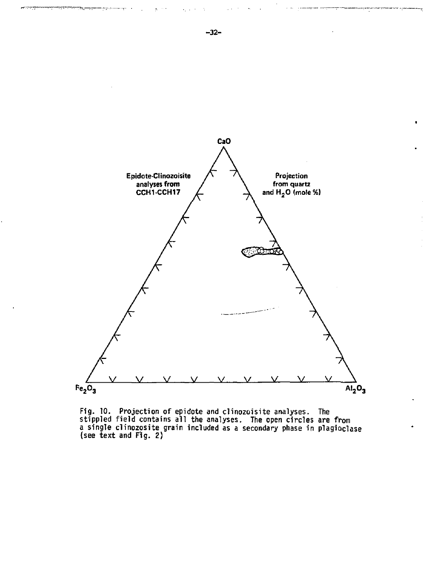

Fig. 10. Projection of epidote and clinozoisite analyses. The stippled field contains all the analyses. The open circles are from a single clinozosite grain included as a secondary phase in plagioclase (see text and Fig. 2)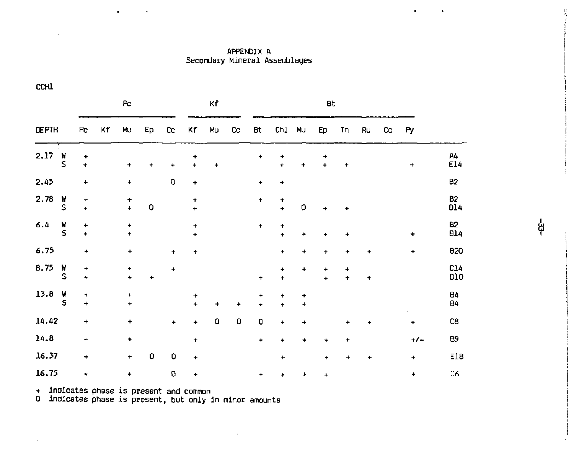APPENDIX A Secondary Mineral Assemblages

| P <sub>C</sub> |        |                           |    | Κf                     |    |                |                  |    |             |                           |                  |                        |                  |        |    |    |           |                         |
|----------------|--------|---------------------------|----|------------------------|----|----------------|------------------|----|-------------|---------------------------|------------------|------------------------|------------------|--------|----|----|-----------|-------------------------|
| <b>DEPTH</b>   |        | Pc                        | Kf | Mu                     | Ep | Cc             | Kf               | MU | cc          | Bt                        | Ch1              | MU                     | Ep               | Τn     | Ru | cc | Py        |                         |
| 2.17           | W<br>S | ٠<br>÷                    |    | +                      | ۰  | ۰              | ۰<br>$\ddotmark$ | +  |             | +                         | +<br>$\ddot{}$   | +                      | ٠<br>$\ddotmark$ | +      |    |    | +         | Α4<br>E14               |
| 2.45           |        | $\ddot{}$                 |    | $\ddot{}$              |    | o              | ٠                |    |             | $\ddot{}$                 | ٠                |                        |                  |        |    |    |           | <b>B2</b>               |
| 2.78           | W<br>S | $\ddot{}$<br>÷            |    | $\ddot{}$<br>$\ddot{}$ | 0  |                | ٠<br>$\ddot{}$   |    |             | $\ddot{}$                 | ٠<br>$\ddotmark$ | D                      | $\ddot{}$        | ۰      |    |    |           | <b>B2</b><br>D14        |
| 6.4            | ۷<br>S | 4<br>$\ddot{\phantom{1}}$ |    | $\ddot{}$<br>$\ddot{}$ |    |                | ۰<br>٠           |    |             | ۰                         | +<br>$\ddot{}$   | ۰                      | ۰                | ٠      |    |    | ۰         | <b>B2</b><br><b>B14</b> |
| 6.75           |        | ٠                         |    | $\ddot{}$              |    | $\color{red}+$ | +                |    |             |                           | ÷                | $\ddot{}$              | 4                | ٠      | ۰  |    | $\ddot{}$ | <b>B20</b>              |
| 8.75           | W<br>S | $\ddot{}$<br>$\ddot{}$    |    | +<br>$\ddot{}$         | ۰  | +              |                  |    |             | $\ddot{}$                 | ٠<br>$\ddot{}$   | ۰                      |                  | 4<br>۰ | ÷  |    |           | C14<br><b>D10</b>       |
| 13.8           | W<br>S | ۰<br>$\ddot{}$            |    | $\ddot{}$<br>÷         |    |                | ٠<br>÷           | ÷  | ۰           | ٠<br>$\ddot{\phantom{1}}$ | +<br>$\ddot{}$   | $\ddot{}$<br>$\ddot{}$ |                  |        |    |    |           | 84<br><b>B4</b>         |
| 14.42          |        | $\ddot{}$                 |    | 4                      |    | ۰              | ۰                | O  | $\mathbf 0$ | O                         | +                | $\ddot{}$              |                  | ۰      | ۰  |    | ٠         | C8                      |
| 14.8           |        | $\ddot{}$                 |    | ۰                      |    |                | ٠                |    |             | ۰                         | $\ddot{}$        | ۰                      | ٠                | ۰      |    |    | -/-       | 89                      |
| 16.37          |        | $\ddot{}$                 |    | +                      | 0  | 0              | ٠                |    |             |                           | ÷                |                        | ٠                | +      | ÷  |    | $\ddot{}$ | E18                     |
| 16.75          |        | ٠                         |    | ٠                      |    | 0              | $\ddot{}$        |    |             | $\ddot{}$                 | ۰                | +                      | 4                |        |    |    | +         | C6                      |

 $\ddot{\phantom{1}}$ 

 $\ddot{\phantom{0}}$ 

+ inOicates phase is present and common 0 indicates phase is present, but only in minor amounts

ដូ

 $\bullet$ 

 $\bullet$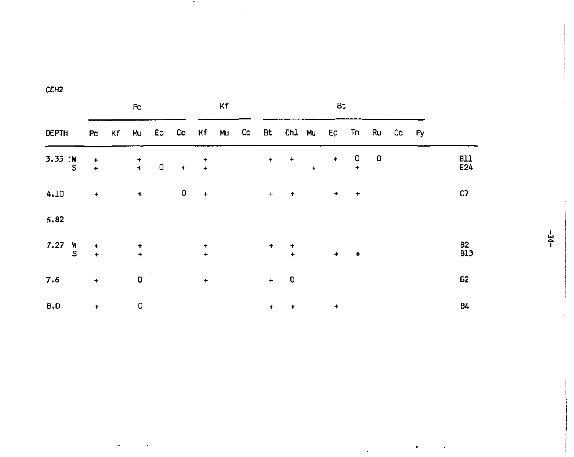|                    |                      | Pc. |                                            |  |   |               | Кf |  |                      | <b>Bt</b>                                        |            |                      |                                       |   |  |  |                              |
|--------------------|----------------------|-----|--------------------------------------------|--|---|---------------|----|--|----------------------|--------------------------------------------------|------------|----------------------|---------------------------------------|---|--|--|------------------------------|
| DEPTH              |                      |     |                                            |  |   |               |    |  |                      | Pc Kf Mu Ep Cc Kf Mu Cc Bt Chl Mu Ep Tn Ru Cc Py |            |                      |                                       |   |  |  |                              |
| 3.35 W<br>S        | $+$                  |     |                                            |  |   |               |    |  |                      | $+$ $+$                                          | $\ddot{+}$ | $\pm$                | $\overline{\mathbf{0}}$<br>$\ddot{+}$ | o |  |  | <b>B11</b><br>E24            |
| 4.10               | $\ddot{}$            |     | $\bullet$                                  |  | 0 | $+$           |    |  | $\pm$                | $+$                                              |            | ٠                    | $+$                                   |   |  |  | C7                           |
| 6.82               |                      |     |                                            |  |   |               |    |  |                      |                                                  |            |                      |                                       |   |  |  |                              |
| 7.27 $\frac{W}{S}$ | $\ddot{\phantom{1}}$ |     | $\frac{1}{2} \left( \frac{1}{2} \right)^2$ |  |   | $\frac{1}{4}$ |    |  |                      | $\ddot{\phantom{1}}$                             |            | $\ddot{\phantom{1}}$ | $\rightarrow$                         |   |  |  | B <sub>2</sub><br><b>B13</b> |
| 7.6                | $\ddot{}$            |     | O                                          |  |   | $\bullet$     |    |  | $+$                  | $\overline{\phantom{0}}$                         |            |                      |                                       |   |  |  | 62                           |
| 0.0                | $\ddotmark$          |     | 0                                          |  |   |               |    |  | $\ddot{\phantom{1}}$ | $\ddot{}$                                        |            | ۰                    |                                       |   |  |  | Β4                           |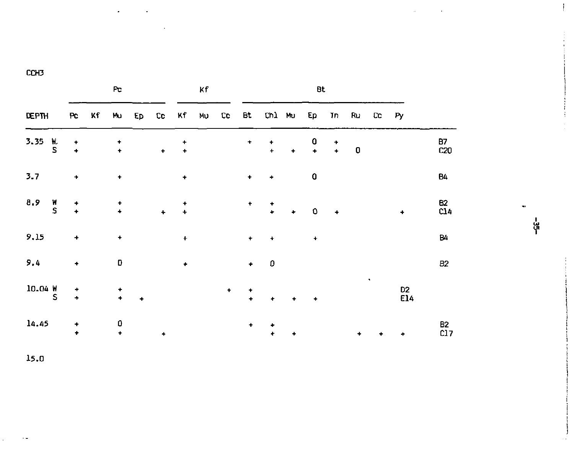| Pc                  |               |                                                   |    |                                   | Kf        |           |                     | Bt |           |                |                 |           |                       |                       |    |    |                       |                       |
|---------------------|---------------|---------------------------------------------------|----|-----------------------------------|-----------|-----------|---------------------|----|-----------|----------------|-----------------|-----------|-----------------------|-----------------------|----|----|-----------------------|-----------------------|
| DEPTH               |               | $P_{\rm C}$                                       | Κf | M۵                                | Ep        | cc        | Кf                  | MU | Cc.       | Bt             | Ch1 Mu          |           | Ep                    | <b>Tn</b>             | Ru | cc | P <sub>Y</sub>        |                       |
| 3.35                | h.<br>S       | $\frac{+}{+}$                                     |    | $\ddot{\phantom{1}}$              |           | $\div$    | ۰<br>$\color{red}+$ |    |           | $\pmb{\cdot}$  | ۰<br>$\ddot{+}$ | $\bullet$ | 0<br>$\ddot{\bullet}$ | ٠<br>$\ddot{\bullet}$ | O  |    |                       | B7<br>C20             |
| 3.7                 |               | ٠                                                 |    | ۰                                 |           |           | $\ddot{}$           |    |           | ۰              | ٠               |           | 0                     |                       |    |    |                       | B4                    |
| 8.9                 | $\frac{W}{S}$ | ۰<br>$\ddot{\phantom{1}}$                         |    | $\ddot{}$<br>$\ddot{\phantom{1}}$ |           | $\ddot{}$ | ۰<br>$\ddot{}$      |    |           | ٠              | ۰<br>÷          | ٠         | 0                     | ٠                     |    |    | ٠                     | B2<br>C14             |
| 9.15                |               | $\begin{array}{c} \bullet \\ \bullet \end{array}$ |    | $\ddot{}$                         |           |           | $\ddot{}$           |    |           | ٠              | ۰               |           | $\ddot{}$             |                       |    |    |                       | 84                    |
| 9.4                 |               | ۰                                                 |    | D                                 |           |           | $\bullet$           |    |           | $\bullet$      | 0               |           |                       |                       |    |    |                       | <b>B2</b>             |
| $10.04 \frac{M}{S}$ |               | ۰<br>$\ddotmark$                                  |    | ۰<br>$\ddotmark$                  | $\ddot{}$ |           |                     |    | $\bullet$ | ۰<br>$\ddot{}$ | ٠               | ۰         | ۰                     |                       |    | ٠  | D <sub>2</sub><br>E14 |                       |
| 14.45               |               | ٠<br>٠                                            |    | 0<br>$\ddot{}$                    |           | ٠         |                     |    |           | ٠              | ۰<br>٠          | $\ddot{}$ |                       |                       | ٠  | ۰  | ۰                     | B <sub>2</sub><br>C17 |

မှု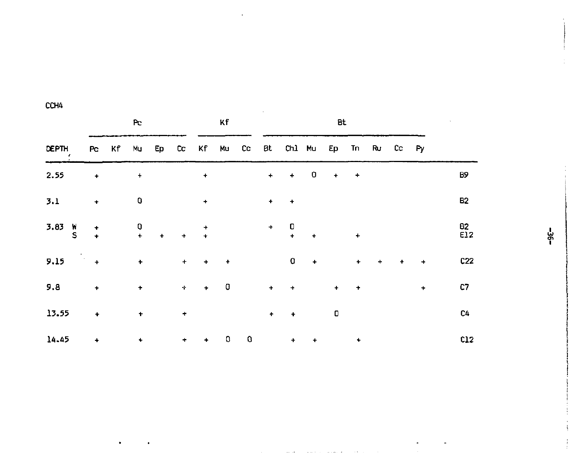|               |               | P <sub>C</sub> |                                       |                      |                      |                      | Κf      |       |                      | Bt.                                            |                      |           |             |        |   |           |           |
|---------------|---------------|----------------|---------------------------------------|----------------------|----------------------|----------------------|---------|-------|----------------------|------------------------------------------------|----------------------|-----------|-------------|--------|---|-----------|-----------|
| DEPTH         | Pc            | Kf             | Mu                                    |                      | Ep Cc Kf             |                      |         | Mu Co |                      | Bt Ch1 Mu Ep Tn Ru Cc Py                       |                      |           |             |        |   |           |           |
| 2.55          | $\bullet$     |                | $\ddag$                               |                      |                      | ٠                    |         |       | $+$                  | $\div$                                         | 0                    | $\ddot{}$ | $\clubsuit$ |        |   |           | В9        |
| 3.1           | $\bullet$     |                | O                                     |                      |                      | $\ddot{}$            |         |       | $\ddot{\phantom{1}}$ | $\ddot{}$                                      |                      |           |             |        |   |           | <b>B2</b> |
| $3.83$ W<br>S | $\frac{1}{4}$ |                | $\begin{array}{c} 0 \\ + \end{array}$ | $\ddot{\phantom{1}}$ | $\bullet$            | $\ddot{+}$           |         |       |                      | $\begin{array}{cc} + & 0 \\ + & + \end{array}$ | $\ddot{\phantom{0}}$ |           | $\ddot{}$   |        |   |           | 82<br>E12 |
| 9.15          | 1.<br>11. 年   |                | $\ddagger$                            |                      | $\ddot{\phantom{1}}$ | $\ddot{}$            | $\ddag$ |       |                      | 0                                              | $+$                  |           | $\ddot{}$   | $\div$ | ۰ | $\ddot{}$ | C22       |
| 9.8           | $\ddag$       |                | $\ddot{}$                             |                      | $\bullet$            | $\ddot{\phantom{1}}$ | O       |       | $\ddot{}$            | $\ddot{}$                                      |                      | ٠         | $\ddag$     |        |   | +         | C7        |
| 13.55         | ÷             |                | $\pmb{\cdot}$                         |                      | ٠                    |                      |         |       | $\ddot{}$            | $\bullet$                                      |                      | 0         |             |        |   |           | C4        |
| 14.45         | ۰             |                | ۰                                     |                      | ٠                    | ٠                    | o       | O     |                      | $+$                                            | $\ddag$              |           | ۰           |        |   |           | c12       |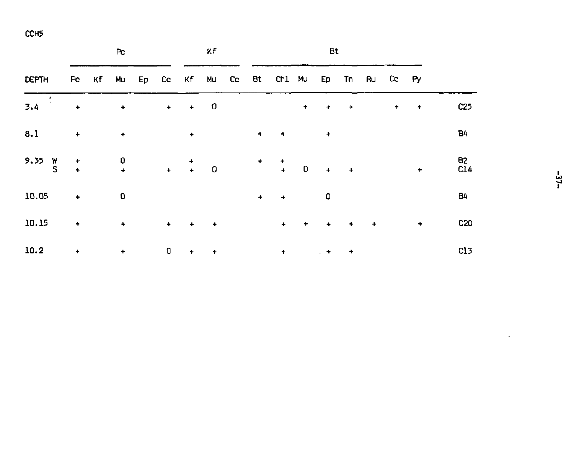|                    |                      | Pc |                                                                              |  | κf        |             |                      | Bt |             |                                                            |           |                      |               |                      |         |                      |            |
|--------------------|----------------------|----|------------------------------------------------------------------------------|--|-----------|-------------|----------------------|----|-------------|------------------------------------------------------------|-----------|----------------------|---------------|----------------------|---------|----------------------|------------|
| <b>DEPTH</b>       |                      |    |                                                                              |  |           |             |                      |    |             | Po Kf Mu Ep Co Kf Mu Co Bt Ch1 Mu Ep Tn Ru Co Py           |           |                      |               |                      |         |                      |            |
| $\epsilon$<br>3.4  | ٠                    |    | $\bullet$                                                                    |  |           | $+$ $+$ 0   |                      |    |             |                                                            | $\bullet$ | $\bullet$            | $\rightarrow$ |                      | $\ddag$ | $+$                  | C25        |
| 8.1                | $\ddot{}$            |    | $\bullet$                                                                    |  |           | $\bullet$   |                      |    | $\ddot{}$   | ٠                                                          |           | ۰                    |               |                      |         |                      | <b>B4</b>  |
| 9.35 $\frac{W}{S}$ | $\ddot{\phantom{1}}$ |    | $\begin{array}{ccccccc}\n0 & & & + & & \\ & + & & + & + & 0 & \n\end{array}$ |  |           |             |                      |    |             | $\begin{array}{cccc}\n+ & + & & \\ & + & & 0\n\end{array}$ |           | $+$ $+$              |               |                      |         | $\ddot{\phantom{1}}$ | 82<br>C14  |
| 10.05              | $\ddot{}$            |    | 0                                                                            |  |           |             |                      |    | $\ddotmark$ | $\ddot{\phantom{1}}$                                       |           | o                    |               |                      |         |                      | <b>B4</b>  |
| 10.15              | ٠                    |    | $\ddot{}$                                                                    |  | $\bullet$ | $\ddotmark$ | $\ddot{\phantom{1}}$ |    |             | $+$                                                        | $\ddot{}$ | $\ddot{\phantom{1}}$ | $\bullet$     | $\ddot{\phantom{1}}$ |         | ۰                    | <b>C20</b> |
| 10.2               | $\bullet$            |    | $\ddag$                                                                      |  | 0         | ٠           | $\ddot{}$            |    |             | $\ddot{\phantom{1}}$                                       |           | 计单                   | ٠             |                      |         |                      | C13        |

 $\sim$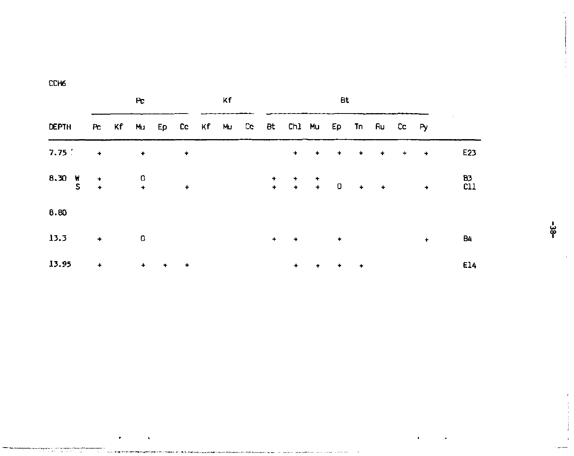|              |               |                                                                         | Pc.       | Κf          |               |  | Bt |     |                                                        |         |           |               |                             |     |               |           |
|--------------|---------------|-------------------------------------------------------------------------|-----------|-------------|---------------|--|----|-----|--------------------------------------------------------|---------|-----------|---------------|-----------------------------|-----|---------------|-----------|
| <b>DEPTH</b> |               |                                                                         |           |             |               |  |    |     | Po Kif Mu Ep Co. Kif Mu Co. Bt. Ch1 Mu Ep Tn Ru Co. Py |         |           |               |                             |     |               |           |
| 7.75         | $\rightarrow$ |                                                                         | $\bullet$ |             | ۰             |  |    |     |                                                        | $+ - +$ | $\sim 10$ | $\rightarrow$ | $\rightarrow$ $\rightarrow$ | $+$ | $\rightarrow$ | E23       |
| W 03.8       |               | $\begin{array}{cc} \uparrow & & 0 \\ \uparrow & & \uparrow \end{array}$ |           |             | $\ddot{}$     |  |    |     |                                                        |         |           |               |                             |     | $\sim$ $\sim$ | 83<br>C11 |
| 8.80         |               |                                                                         |           |             |               |  |    |     |                                                        |         |           |               |                             |     |               |           |
| 13.3         | $\bullet$     |                                                                         | 0         |             |               |  |    | $+$ | $\rightarrow$                                          |         | ٠         |               |                             |     | $\ddot{}$     | 84        |
| 13.95        | $\bullet$     |                                                                         | $+$       | $\ddotmark$ | $\rightarrow$ |  |    |     | $\ddotmark$                                            | ٠       | ٠         | ٠             |                             |     |               | E14       |

မ္ဗ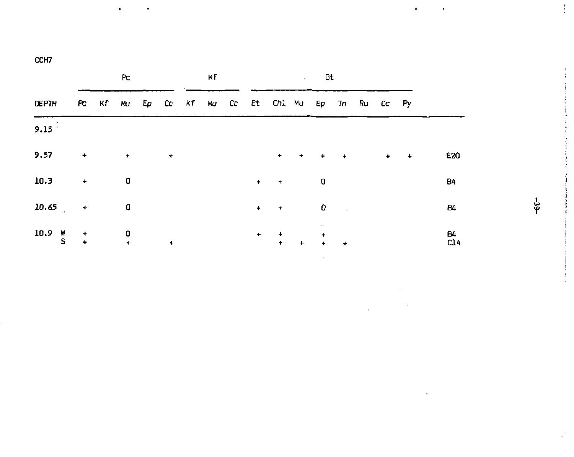.

|                                                      |                      |       | Pc                                        |           | кf |           |                                            | $\mathbf{A}$ . The $\mathbf{A}$ | Bt                        |                       |   |                      |           |
|------------------------------------------------------|----------------------|-------|-------------------------------------------|-----------|----|-----------|--------------------------------------------|---------------------------------|---------------------------|-----------------------|---|----------------------|-----------|
| DEPTH                                                |                      | PC Kf |                                           |           |    |           | Mu Ep Co Kf Mu Co Bt Ch1 Mu Ep Tn Ru Co Py |                                 |                           |                       |   |                      |           |
| 9.15 <sup>2</sup>                                    |                      |       |                                           |           |    |           |                                            |                                 |                           |                       |   |                      |           |
| 9.57                                                 | $\bullet$            |       | $\ddot{\phantom{1}}$                      | $\ddot{}$ |    |           | $+$                                        | $+ +$                           |                           | $+$                   | ۰ | $\ddot{\phantom{1}}$ | E20       |
| 10.3                                                 | $\ddot{\phantom{1}}$ |       | 0                                         |           |    | $\ddag$   | $+$                                        |                                 | 0                         |                       |   |                      | <b>B4</b> |
| $10.65$ $+$                                          |                      |       | o                                         |           |    | $\ddot{}$ | $\rightarrow$                              |                                 | 0                         | $\sim 100$ km $^{-2}$ |   |                      | Β4        |
| $\begin{array}{cc} 10.9 & \text{W} \\ 5 \end{array}$ | $+$<br>$\leftarrow$  |       | $\overline{\phantom{a}}$<br>$\rightarrow$ | $\ddot{}$ |    | ٠         | $\ddotmark$<br>$\ddot{\phantom{1}}$        | $\ddot{\phantom{1}}$            | ٠<br>$\ddot{\phantom{1}}$ | $+$                   |   |                      | Β4<br>C14 |

မှု

 $\mathfrak{f}$ 

 $\overline{a}$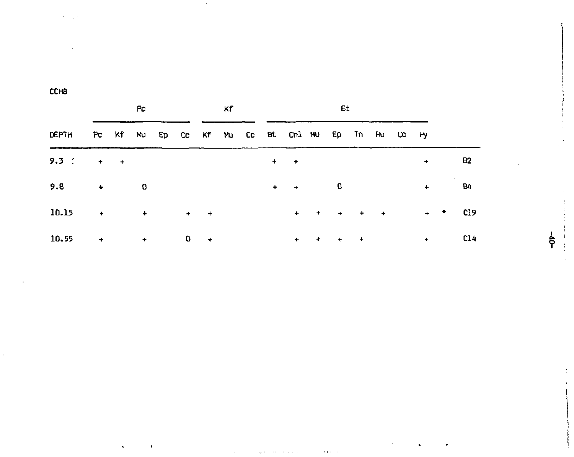$\bullet$ 

|                                                        |                                         | Pc.     |   |         | Кf |     |           | <b>Bt</b> |  |                      |                            |  |
|--------------------------------------------------------|-----------------------------------------|---------|---|---------|----|-----|-----------|-----------|--|----------------------|----------------------------|--|
| DEPTH PC Kf Mu Ep Cc Kf Mu Cc Bt Ch1 Mu Ep Tn Ru Cc Py |                                         |         |   |         |    |     |           |           |  |                      |                            |  |
| 9.3 $\div$ + +                                         |                                         |         |   |         |    |     | $+ - + -$ |           |  | $\ddotmark$          | B2                         |  |
| 9.8                                                    | $+$ 0                                   |         |   |         |    | $+$ | $+$ 0     |           |  | $+$                  | 84                         |  |
| 10.15                                                  | <b>Contract Contract Administration</b> |         |   | $+$ $+$ |    |     |           |           |  |                      | $+$ + + + + + + $\sqrt{2}$ |  |
| 10.55                                                  |                                         | $+$ $+$ | 0 | $+$     |    |     | $+$       | $+ + + +$ |  | $\ddot{\phantom{1}}$ | C14                        |  |

 $\gamma$ 

 $\mathcal{A}$  and  $\mathcal{A}$ 

agencies constructions

 $\bullet$ 

 $\sim$ 

 $-0b$ 

- 11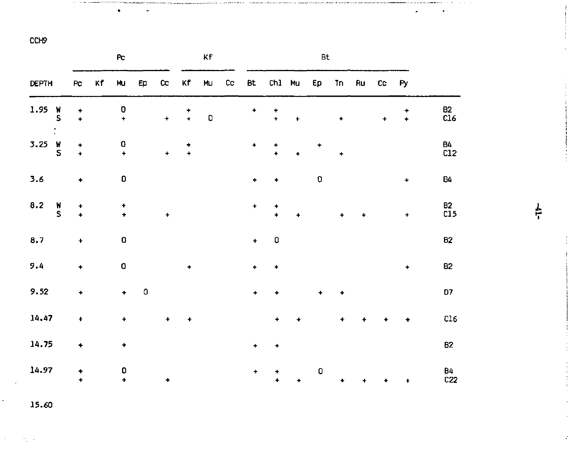|              |                     |                           |    | $\mathsf{P}\mathsf{c}$ |    |           |                | Kf |    |                  |                       |                      | Bt |           |    |           |                |           |
|--------------|---------------------|---------------------------|----|------------------------|----|-----------|----------------|----|----|------------------|-----------------------|----------------------|----|-----------|----|-----------|----------------|-----------|
| <b>DEPTH</b> |                     | Pc                        | Κf | Mu                     | Ep | $\alpha$  | Κf             | Mu | CC | Bt               | Ch1                   | Mu                   | Ep | Tn        | Ru | CC        | Py             |           |
| 1.95         | $\frac{w}{S}$<br>t. | ٠<br>$\ddotmark$          |    | $\frac{0}{t}$          |    | $\ddot{}$ | ٠<br>$\ddot{}$ | O  |    | ۰                | ٠<br>÷                | ٠                    |    | ٠         |    | $\ddot{}$ | ٠<br>$\ddot{}$ | 82<br>C16 |
| 3.25         | $\frac{w}{S}$       | ۰<br>$\ddot{\phantom{1}}$ |    | $\frac{0}{t}$          |    | $\ddot{}$ | ۰<br>$\ddot{}$ |    |    | ۰                | ٠<br>$\ddot{\bullet}$ |                      | ۰  | ÷         |    |           |                | 84<br>C12 |
| 3.6          |                     | ٠                         |    | 0                      |    |           |                |    |    | ٠                | ٠                     |                      | 0  |           |    |           | $\ddot{}$      | 84        |
| 8.2          | N<br>S              | $\ddot{}$<br>÷            |    | $\ddag$<br>$\ddot{}$   |    | $\ddot{}$ |                |    |    | $\ddotmark$      | ۰<br>٠                | $\ddot{\phantom{0}}$ |    | $\ddot{}$ | ٠  |           | $\ddot{}$      | B2<br>C15 |
| 8.7          |                     | $\ddot{}$                 |    | O                      |    |           |                |    |    | $\ddot{\bullet}$ | O                     |                      |    |           |    |           |                | 82        |
| 9.4          |                     | $\ddot{}$                 |    | $\mathbf{0}$           |    |           | ۰              |    |    | $\ddot{}$        | ٠                     |                      |    |           |    |           | $\ddotmark$    | <b>B2</b> |
| 9.52         |                     | ÷                         |    | $\ddot{}$              | ٥  |           |                |    |    | ٠                | ٠                     |                      | ٠  |           |    |           |                | D7        |
| 14.47        |                     | $\ddot{}$                 |    | ÷                      |    | ÷         | 4              |    |    |                  | ۰                     | 4                    |    | $\ddot{}$ |    |           |                | C16       |
| 14.75        |                     | ۰                         |    | ÷                      |    |           |                |    |    | ٠                | ۰                     |                      |    |           |    |           |                | B2        |
| 14.97        |                     | ۰<br>$\ddot{\phantom{1}}$ |    | 0<br>÷                 |    | $\ddot{}$ |                |    |    | ٠                | ۰<br>٠                | ٠                    | 0  | ٠         | ÷  |           | $\ddot{}$      | Β4<br>C22 |

**14.97 + 0 + + 0 B4** 

 $\ddagger$ 

J.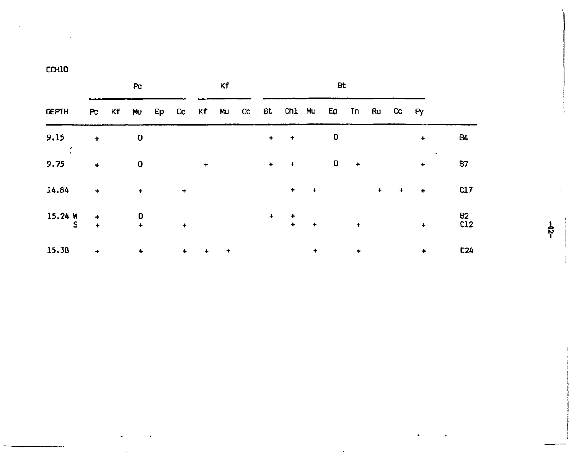**CCHlO** 

|              |                                              | Pc.                       |           |                      | κf |                      |                                                  |               | <b>Bt</b> |             |     |           |                      |           |
|--------------|----------------------------------------------|---------------------------|-----------|----------------------|----|----------------------|--------------------------------------------------|---------------|-----------|-------------|-----|-----------|----------------------|-----------|
| <b>DEPTH</b> |                                              |                           |           |                      |    |                      | Pc Kf Mu Ep Cc Kf Mu Cc Bt Ch1 Mu Ep Tn Ru Cc Py |               |           |             |     |           |                      |           |
| 9.15         | $\ddot{}$                                    | 0                         |           |                      |    | $\ddotmark$          | $\rightarrow$                                    |               | O         |             |     |           | $\ddot{\phantom{1}}$ | 84        |
| 9.75         | ٠                                            | 0                         |           | $\ddot{}$            |    | $\ddot{\phantom{1}}$ | $\sim$ 100 $\pm$                                 |               | 0         | $+$         |     |           | $\ddot{}$            | 87        |
| 14.84        | $\ddot{}$                                    | $\ddot{}$                 | $\ddot{}$ |                      |    |                      | $\ddot{\phantom{1}}$                             | $\rightarrow$ |           |             | $+$ | $\ddot{}$ | $\bullet$            | C17       |
| 15.24 W<br>s | $\ddot{\phantom{0}}$<br>$\ddot{\phantom{1}}$ | 0<br>$\ddot{\phantom{1}}$ | ٠         |                      |    | $\ddot{}$            | $\ddot{}$<br>$\bullet$                           | $+$           |           | $\ddotmark$ |     |           | $\ddot{\phantom{1}}$ | 82<br>C12 |
| 15.38        | ٠                                            | ٠                         | ٠         | $\ddot{\phantom{1}}$ | ۰  |                      |                                                  | ٠             |           | ٠           |     |           | ٠                    | C24       |

 $\ddot{r}$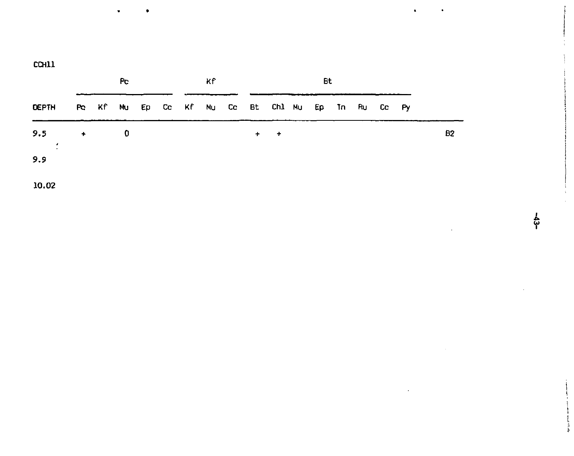| <b>COILL</b> |  |  |
|--------------|--|--|
|              |  |  |

|                |                      | Pc. |  | Кf |           |                                                  | Bt |  |  |    |
|----------------|----------------------|-----|--|----|-----------|--------------------------------------------------|----|--|--|----|
| <b>DEPTH</b>   |                      |     |  |    |           | Pe Kf Mu Ep Ce Kf Mu Ce Bt Ch1 Mu Ep Tn Ru Ce Py |    |  |  |    |
| 9.5<br>$\cdot$ | $\ddot{\phantom{1}}$ | 0   |  |    | $\ddot{}$ | $+$                                              |    |  |  | B2 |
| 9.9            |                      |     |  |    |           |                                                  |    |  |  |    |
| 10.02          |                      |     |  |    |           |                                                  |    |  |  |    |

န္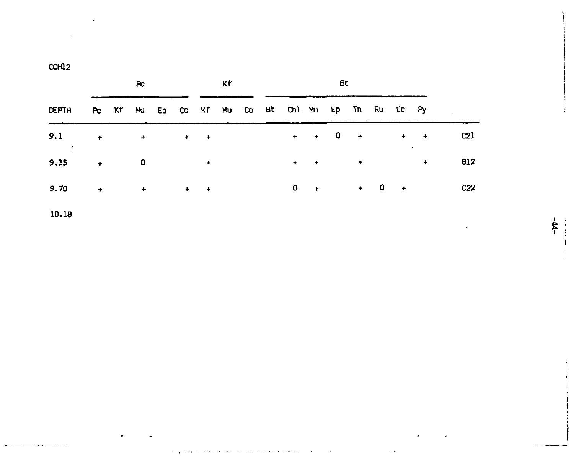| CCH12 |  |  |
|-------|--|--|
|       |  |  |

|              |     |                 | Pc. |                                                                                                                                                                                                                                  |        | ĸ۴ |  |                                                  | Bt                                |  |                                                                                                                                                                                                                                    |     |
|--------------|-----|-----------------|-----|----------------------------------------------------------------------------------------------------------------------------------------------------------------------------------------------------------------------------------|--------|----|--|--------------------------------------------------|-----------------------------------|--|------------------------------------------------------------------------------------------------------------------------------------------------------------------------------------------------------------------------------------|-----|
| <b>DEPTH</b> |     |                 |     |                                                                                                                                                                                                                                  |        |    |  | Pc Kf Mu Ep Co Kf Mu Co Bt Ch1 Mu Ep Tn Ru Co Py |                                   |  |                                                                                                                                                                                                                                    |     |
| 9.1          | $+$ |                 |     | $\cdots$ . The contract of the contract of the contract of the contract of the contract of the contract of the contract of the contract of the contract of the contract of the contract of the contract of the contract of the c |        |    |  |                                                  |                                   |  | $+$ + 0 + + +                                                                                                                                                                                                                      | C21 |
| 9.35         |     | $\rightarrow$ 0 |     |                                                                                                                                                                                                                                  | $\sim$ |    |  | $\ddot{\phantom{1}}$                             | <b>Contract Contract Contract</b> |  | $\bullet$ . The contract of the contract of the contract of the contract of the contract of the contract of the contract of the contract of the contract of the contract of the contract of the contract of the contract of the co | B12 |
| 9.70         |     |                 |     | $+$ $+$ $+$ $+$                                                                                                                                                                                                                  |        |    |  |                                                  | $0 + 0 +$                         |  |                                                                                                                                                                                                                                    | C22 |

 $-44-$ 

 $10.18$ 

 $\sim$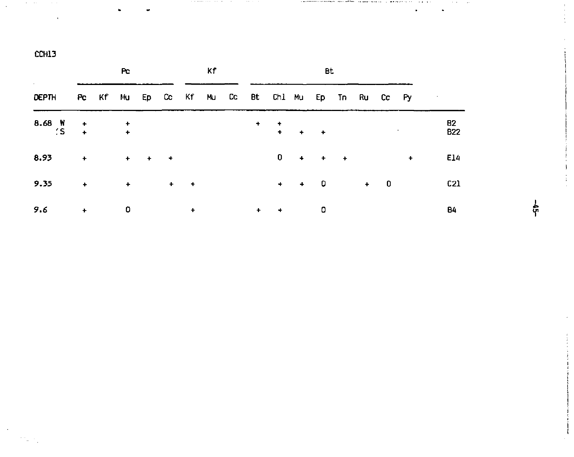|                                   |               | Pc.                                                                                                                                  |                     | Кf |           |                                                    | <b>Bt</b> |                                 |  |                  |
|-----------------------------------|---------------|--------------------------------------------------------------------------------------------------------------------------------------|---------------------|----|-----------|----------------------------------------------------|-----------|---------------------------------|--|------------------|
| DEPTH                             |               |                                                                                                                                      |                     |    |           | Pe Kif Mu Ep Ce Kif Mu Ce Bt Ch1 Mu Ep Tn Ru Ce Py |           |                                 |  |                  |
| $8.68$ $\frac{W}{S}$ + $\qquad$ + |               |                                                                                                                                      |                     |    |           |                                                    |           | the contract of the contract of |  | 82<br><b>B22</b> |
| $8.93 + + + + +$                  |               |                                                                                                                                      |                     |    |           |                                                    | $0 + + +$ |                                 |  | E14              |
| 9.35                              |               | the control of the state of the                                                                                                      | $\sim$ $+$ $+$      |    |           |                                                    | $+ + 0$   | $+ 0$                           |  | C21              |
| 9.6                               | $\rightarrow$ | $\overline{\phantom{a}}$ , $\overline{\phantom{a}}$ , $\overline{\phantom{a}}$ , $\overline{\phantom{a}}$ , $\overline{\phantom{a}}$ | the contract of the |    | $\ddot{}$ | $+$                                                | 0         |                                 |  | B4               |

. . . . . . . .....

 $\cdots$ Ĭ.

 $\bullet$ 

ត្ត់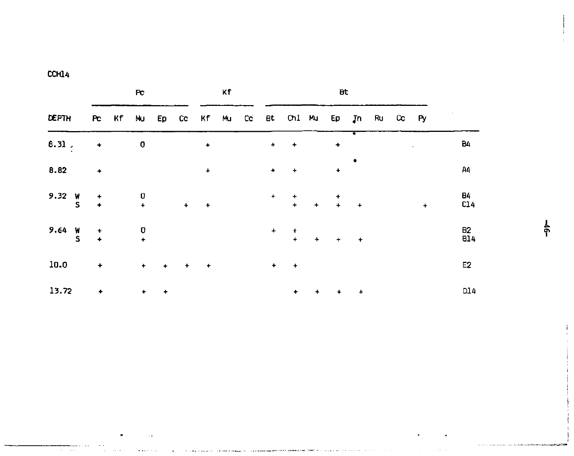|--|

×

 $\sim$ 

<del>машы</del>шы да салат.<br>Област салаттар алаттар жеңізген салаттар бардыңысты<del>рын сырдың арыны мұ</del>мын <del>мен</del> бардың жеңізген салаттарда бала

|                    |                      | Pc                                    |             |           |                  | κf |                      |                                                   |     | Bt.                                                   |           |  |             |                  |
|--------------------|----------------------|---------------------------------------|-------------|-----------|------------------|----|----------------------|---------------------------------------------------|-----|-------------------------------------------------------|-----------|--|-------------|------------------|
| <b>DEPTH</b>       |                      |                                       |             |           |                  |    |                      | Pc Kf Nu Ep Cc Kf Mu Cc Bt Ch1 Mu Ep Jn Ru Cc Py  |     |                                                       |           |  |             |                  |
| 8.31.              | ٠                    | 0                                     |             |           | $\ddot{\bullet}$ |    | $\ddotmark$          | $\ddot{}$                                         |     | ٠                                                     |           |  |             | B4               |
| 8.82               | $\ddot{\phantom{0}}$ |                                       |             |           | $\ddot{}$        |    | $\ddot{\phantom{0}}$ | $\ddot{}$                                         |     | ۰                                                     |           |  |             | Α4               |
| 9.32 $\frac{w}{s}$ | $\rightarrow$        | $\begin{array}{c} 0 \\ + \end{array}$ |             | $\ddot{}$ | $\ddot{}$        |    | $+$                  | $\begin{array}{ccc} & + & \\ + & & + \end{array}$ |     | $\begin{array}{ccc} & & + & \\ & + & & + \end{array}$ |           |  | $\ddotmark$ | B4<br>C14        |
| 9.64 $\frac{W}{S}$ | $\ddot{\phantom{1}}$ | $\frac{0}{t}$                         |             |           |                  |    | $\ddot{}$            | $+$<br>$\ddot{}$                                  | $+$ | $+$ $+$                                               |           |  |             | B2<br><b>B14</b> |
| 10.0               | $\div$               |                                       | $+ - + - +$ |           | $\rightarrow$    |    | $\bullet$            | $\ddot{}$                                         |     |                                                       |           |  |             | E <sub>2</sub>   |
| 13.72              | ۰                    | $^+$                                  | ۰           |           |                  |    |                      | ٠                                                 | $+$ | $\ddot{\phantom{1}}$                                  | $\ddot{}$ |  |             | D14              |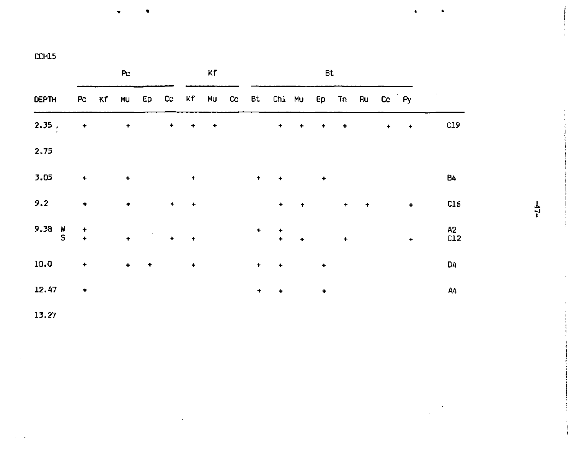•

|                    |                 | P <sub>C</sub>       |                                            |                      |               | Κf |         |                                                  |               | <b>Bt</b> |        |               |   |                      |                              |      |
|--------------------|-----------------|----------------------|--------------------------------------------|----------------------|---------------|----|---------|--------------------------------------------------|---------------|-----------|--------|---------------|---|----------------------|------------------------------|------|
| <b>DEPTH</b>       |                 |                      |                                            |                      |               |    |         | Pc Kf Mu Ep Cc Kf Mu Cc Bt Chl Mu Ep Tn Ru Cc Py |               |           |        |               |   |                      |                              |      |
| $2.35$ ,           | ٠               | $\div$               |                                            |                      | $+$           |    |         | $\bullet$ . $\bullet$                            | $\bullet$     | $\bullet$ | $\sim$ |               | ٠ | $\rightarrow$        | C19                          |      |
| 2.75               |                 |                      |                                            |                      |               |    |         |                                                  |               |           |        |               |   |                      |                              |      |
| 3.05               | $\ddot{}$       | $\bullet$            |                                            |                      | $\ddot{}$     |    | $+$     | $\sim$ $\bullet$                                 |               | $\bullet$ |        |               |   |                      | <b>B4</b>                    |      |
| 9.2                | $\blacklozenge$ | $\bullet$            |                                            |                      | $+ - +$       |    |         | $\bullet$                                        | $\bullet$     |           | $+$    | $\rightarrow$ |   | $\bullet$            | C16                          | $-1$ |
| 9.38 $\frac{1}{5}$ | $\ddot{\cdot}$  | $\ddot{\phantom{1}}$ | $\mathcal{L} \in \mathcal{F}(\mathcal{L})$ | $\ddot{\phantom{1}}$ | $\rightarrow$ |    |         | $\frac{+}{2}$                                    | $\rightarrow$ |           | $\pm$  |               |   | $\ddot{\phantom{1}}$ | <b>A2</b><br>c <sub>12</sub> |      |
| 10.0               | $\ddot{}$       | $+$                  | $\rightarrow$                              |                      | $\ddot{}$     |    | $\ddag$ | $\ddot{}$                                        |               | $\ddot{}$ |        |               |   |                      | D4                           |      |
| 12.47              | ٠               |                      |                                            |                      |               |    | ٠       | $\ddot{}$                                        |               | ٠         |        |               |   |                      | A4                           |      |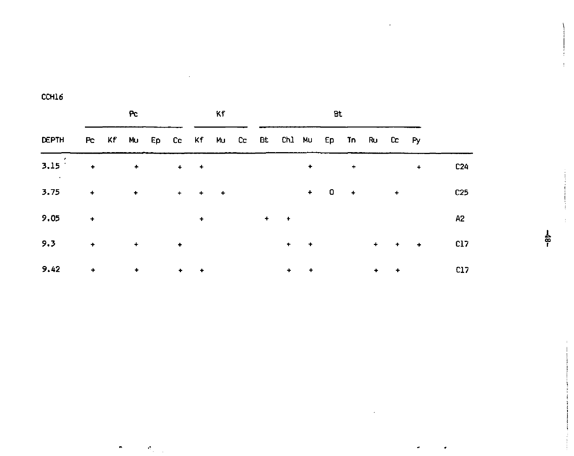$\bullet$ 

 $\epsilon_{\rm s}$ 

|       |                                                  |                                                                 | Pc.                  |                                  |                      |               | Kf |  |             |               | Bt          |     |   |           |                      |                 |
|-------|--------------------------------------------------|-----------------------------------------------------------------|----------------------|----------------------------------|----------------------|---------------|----|--|-------------|---------------|-------------|-----|---|-----------|----------------------|-----------------|
| DEPTH | Po Kf Mu Ep Co Kf Mu Co Bt Ch1 Mu Ep Tn Ru Co Py |                                                                 |                      |                                  |                      |               |    |  |             |               |             |     |   |           |                      |                 |
| 3.15  |                                                  | $\bullet$ .<br><br><br><br><br><br><br><br><br><br><br><br><br> | $\pm$                |                                  |                      | $+$ $+$       |    |  |             | ٠             |             | $+$ |   |           | $\ddot{\phantom{1}}$ | C <sub>24</sub> |
| 3.75  | $\ddot{\phantom{1}}$                             |                                                                 |                      | $\bullet$ . The set of $\bullet$ | $+$                  | $+$ $+$       |    |  |             |               | $+$ 0 $+$ 0 |     |   | $+$       |                      | C25             |
| 9.05  | $\ddot{}$                                        |                                                                 |                      |                                  |                      | $\ddot{}$     |    |  | $+$ $+$     |               |             |     |   |           |                      | A2              |
| 9.3   | $\bullet$                                        |                                                                 | $+$                  |                                  | $\rightarrow$        |               |    |  |             | $+$ $+$       |             |     |   |           | $+ + + +$            | C17             |
| 9.42  | $\ddot{}$                                        |                                                                 | $\ddot{\phantom{1}}$ |                                  | $\ddot{\phantom{1}}$ | $\rightarrow$ |    |  | $\ddotmark$ | $\rightarrow$ |             |     | ٠ | $\ddot{}$ |                      | C17             |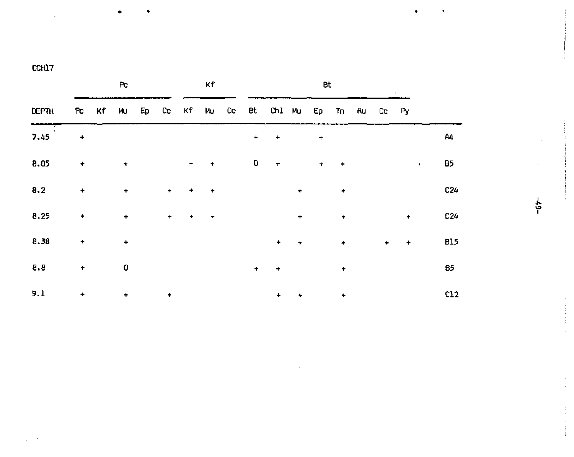|           |           |    | Pc        |           |           | Κf        |                |           |             |           | Bt        |           |       |       |           |           |     |
|-----------|-----------|----|-----------|-----------|-----------|-----------|----------------|-----------|-------------|-----------|-----------|-----------|-------|-------|-----------|-----------|-----|
| DEPTH     | Pc        | Kf | Mu        |           |           |           | Ep Co Kf Mu Co |           | Bt Chl Mu   |           | Ep        |           | Tn Ru | Cc Py |           |           |     |
| ▼<br>7.45 | ۰         |    |           |           |           |           |                | $\ddot{}$ | $\ddot{}$   |           | $\ddag$   |           |       |       |           |           | Α4  |
| 8.05      | ۰         |    | $\ddot{}$ |           | $+$       | $\ddot{}$ |                | 0         | $\ddot{}$   |           | $\ddot{}$ | ۰         |       |       |           | $\bullet$ | Β5  |
| 8.2       | ٠         |    | $\ddot{}$ | $\ddot{}$ | $\ddot{}$ | $\ddot{}$ |                |           |             | $\ddot{}$ |           | $\ddot{}$ |       |       |           |           | C24 |
| 8.25      | ٠         |    | ٠         | ÷         | ٠         | $\ddot{}$ |                |           |             | $\ddot{}$ |           | ٠         |       |       | ٠         |           | C24 |
| 8.38      | ٠         |    | $\ddot{}$ |           |           |           |                |           | $\ddotmark$ | $\ddot{}$ |           | $\ddot{}$ |       | ۰     | $\ddot{}$ |           | 815 |
| 8.8       | $\ddot{}$ |    | 0         |           |           |           |                | $\ddot{}$ | ۰           |           |           | ۰         |       |       |           |           | 85  |
| 9.1       | ٠         |    | ٠         | ٠         |           |           |                |           | ٠           | ۰         |           | ۰         |       |       |           |           | C12 |

ę.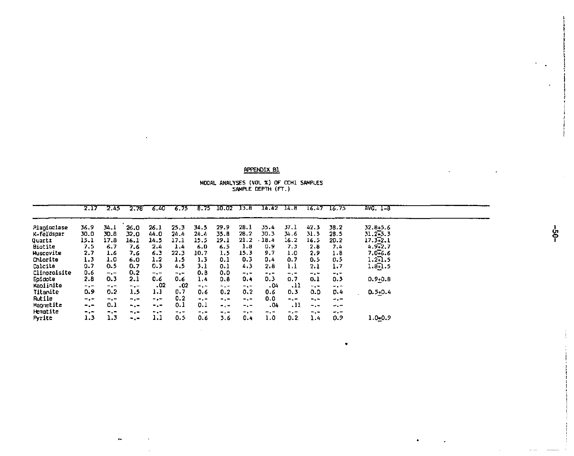#### APPENDIX B1

MODAL ANALYSES (VOL %) OF CCH1 SAMPLES<br>SAMPLE DEPTH (FT.)

|                | 2.17      | 2.45      | 2.78 | - 6.40 | $-6.75$ |       | 8.75 10.02 13.8 |       | $14.42$ $14.8$ |           |        | $16.47$ 16.75 | $AVG. 1-8$   |  |
|----------------|-----------|-----------|------|--------|---------|-------|-----------------|-------|----------------|-----------|--------|---------------|--------------|--|
| Plantoclase    | 36.9      | 34.1      | 26.0 | 26.1   | 25.3    | 34.5  | 29.9            | 28.1  | 35.4           | 37.1      | 42.3   | 38.2          | 32.8+5.6     |  |
| K-feldspar     | 30.0      | 30.8      | 32.0 | 44.0   | 24.4    | 24.4  | 35.8            | 28.2  | 30.3           | 34.6      | 31.3   | 28.5          | $31.2 - 5.3$ |  |
| Quartz         | 15.1      | 17.8      | 16.1 | 14.5   | 17.1    | 15.5  | 19.1            | 21.2  | 18.4           | 16.2      | 16.5   | 20.2          | 17.3 2.1     |  |
| <b>Biotite</b> | 7.5       | 6.7       | 7.6  | 2.4    | 1.4     | 6.0   | 6.5             | 1.8   | 0.9            | 7.3       | 2.8    | 7.4           | $4.9 - 2.7$  |  |
| Muscovite      | 2.7       | 1.6       | 7.6  | 6.3    | 22.3    | 10.7  | 1.5             | 15.3  | 9.7            | 1.0       | 2.9    | 1.8           | $7.0 - 6.6$  |  |
| Chlorite       | 1.3       | 1.0       | 6.0  | 1.2    | 1.5     | 1.3   | 0.1             | 0.3   | 0.4            | 0,7       | 0.5    | 0.5           | $1.2 - 1.5$  |  |
| Lalcite        | 0.7       | 0.5       | 0.7  | 0.3    | 4.5     | 3.1   | 0.1             | 4.3   | 2.8            | 1.1       | 2.1    | 1.7           | $1.8 - 1.5$  |  |
| Clinozoisite   | 0.6       | $-$ . $-$ | 0.2  | $-1$   | $-1$    | 0.8   | 0.0             | $-1-$ | ۰.             | $-$ , $-$ | $-1 -$ | $-1$          |              |  |
| Epidote        | 2.8       | 0.3       | 2.1  | 0.6    | 0.6     | 1.4   | 0.8             | 0.4   | 0.3            | 0.7       | 0.1    | 0.3           | $0.9 + 0.8$  |  |
| Kapiinite      | $-1$      | $-$ . $-$ | $-1$ | .02    | 02ء     | $-1-$ | $-1 -$          | $-1$  | ،٥۵            | .11       | ÷.÷    | $-1$          |              |  |
| Titanite       | 0.9       | 0.2       | 1.5  | 1.1    | 0.7     | 0.6   | 0.2             | 0.2   | 0.6            | 0.3       | 0.0    | D.4           | $0.5 + 0.4$  |  |
| Rutile         | $-$ . $-$ | $-$ . $-$ | $-1$ | -.-    | 0.2     | $-1$  | ۰.,             | $-1$  | 0.0            | $-1$      | -.-    | -.-           |              |  |
| Magnetite      | $-1$      | 0.1       | $-1$ | $-1 -$ | 0.1     | 0.1   | $\ddotsc$       | $-1$  | .04            | .11       | $-1$   | $-1 -$        |              |  |
| Hematite       | -.-       | $-1$      | $-1$ |        | $-1$    | -     | $-1$            | -. -  | -.-            | $-1$      | ∽.∼    | -.-           |              |  |
| Pyrite         | 1.3       | 1.3       | ۰.۰  | 1.1    | 0.5     | 0.6   | 3.6             | 0.4   | 1.0            | 0.2       | 1.4    | 0.9           | $1.0 - 0.9$  |  |

 $\bullet$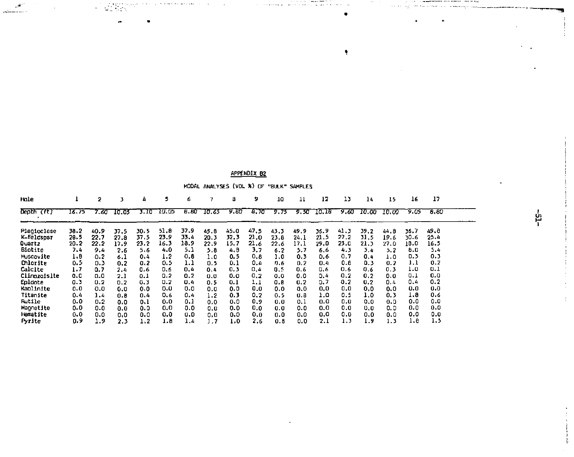| Hole         |       | 2    |       | Δ    |         | 6    |       | 8    | 9    | 10         | 11   | 12    | 13   | 14    | 15    | 16   | 17   |  |
|--------------|-------|------|-------|------|---------|------|-------|------|------|------------|------|-------|------|-------|-------|------|------|--|
| Depth        | 16.75 | 7.60 | 10.05 | 3.10 | - 10.05 | 8.80 | 10.65 | 9.80 | 8.70 | 9.75       | 9.50 | 10.18 | 9.60 | 10.00 | 10.00 | 9.05 | 8.80 |  |
| Placioclase  | 38.2  | 40.9 | 37.5  | 30.5 | 51.8    | 37.9 | 45.8  | 45.0 | 47.5 | 43.3       | 49.9 | 36.9  | 41,3 | 39.2  | 44.8  | 36.7 | 49.8 |  |
| K-feldspar   | 28.5  | 22.7 | 27.8  | 37.5 | 23.9    | 33.4 | 20.3  | 32.3 | 21.0 | 23.8       | 24.1 | 21.5  | 27.2 | 31.5  | 19.6  | 30.6 | 25.4 |  |
| Quartz       | 20.2  | 22.2 | 17.9  | 23.2 | 16.3    | 18.9 | 22.9  | 15.7 | 21.6 | 22.6       | 17.1 | 29.D  | 23.0 | 21.3  | 27.0  | 18.0 | 16.5 |  |
| Biotite      | 7.4   | 9.4  | 2.6   | 5.6  | 4.0     | 5.1  | 5.8   | 4.B  | 3.7  | 6.2        | 5.7  | 6.6   | 4.3  | 3.4   | 5.2   | 8.0  | 5.4  |  |
| Muscovite    | 1.8   | 0.2  | 6.1   | 0.4  | 1.2     | 0.8  | 1.0   | 0.5  | 0.8  | 1.0        | 0.3  | 0.6   | 0.7  | 0.4   | 1.0   | D. 3 | 0.3  |  |
| Chlorite     | 0.5   | 0.3  | 0.2   | 0.2  | 0.5     | 1.1  | 0.5   | 0.1  | 0.4  | <b>n.6</b> | 0.2  | 0.4   | 0.8  | 0.3   | 0.2   | 1.1  | 0.7  |  |
| Calcite      | 1.7   | 0.7  | 2.4   | 0.6  | 0.6     | 0.4  | 0.4   | 0.3  | 0.4  | 0.5        | 0.6  | 0.6   | 0.6  | 0.6   | 0.3   | 1.0  | 0.1  |  |
| ClinozoIslte | o.o   | n.o  | 2.1   | 0.1  | 0.2     | 0.2  | 0.0   | 0.0  | 0,2  | 0.0        | 0.0  | 0.4   | 0.2  | 0,2   | 0.0   | 0.1  | 0.0  |  |
| Epldate      | 0.3   | 0.2  | 0.2   | 0.3  | 0.2     | 0.4  | 0.5   | 0.1  | 1.1  | 0.8        | 0.2  | 0.7   | 0.2  | 0.2   | 0.4   | 0,4  | 0.2  |  |
| Kaolinite    | 0.0   | 0.0  | 0.0   | 0.0  | 0.0     | 0.0  | 0.0   | 0.0  | 0.0  | 0.0        | 0.0  | 0.0   | 0, 0 | 0.0   | 0.0   | 0.0  | 0.0  |  |
| Titanite     | 0.4   | 1.4  | 0.8   | 0,4  | 0.6     | 0.4  | 1.2   | 0.3  | 0,2  | 0.5        | 0.8  | 1.0   | 0.5  | 1.0   | 0.3   | 1.8  | 0.6  |  |
| Rutile       | 0.0   | 0.2  | 0.0   | 0.1  | 0.0     | 0,1  | 0.0   | 0.0  | 0.9  | 0.0        | 0.1  | 0.0   | 0.0  | 0.0   | 0.0   | 0.0  | 0.0  |  |
| Macnetite    | 0.0   | 0.0  | 0.0   | 0.0  | 0.0     | 0.0  | 0,0   | 0.0  | 0.0  | 0.0        | 0.0  | 0.0   | 0.0  | 0.0   | 0.0   | 0.0  | 0.0  |  |
| Hematite     | 0.0   | 0.0  | 0.0   | 0.0  | 0.0     | 0.0  | 0,0   | 0.0  | 0.0  | 0.0        | 0.0  | 0.0   | 0.0  | 0.0   | 0.0   | 0.0  | 0.0  |  |
| Pyrite       | 0.9   | 1.9  | 2.3   | 1.2  | 1.8     | 1.4  | - 7   | 1.0  | 2.6  | 0.8        | 0.0  | 2.1   | 1.3  | 1.9   | 1.3   | 1.8  | 1.5  |  |

#### APPENDIX B2

and an experience

33

MODAL ANALYSES

|  |  | (VDL %) OF "BULK" SAMPLES |
|--|--|---------------------------|
|  |  |                           |

and and an **College College** 

 $\bullet$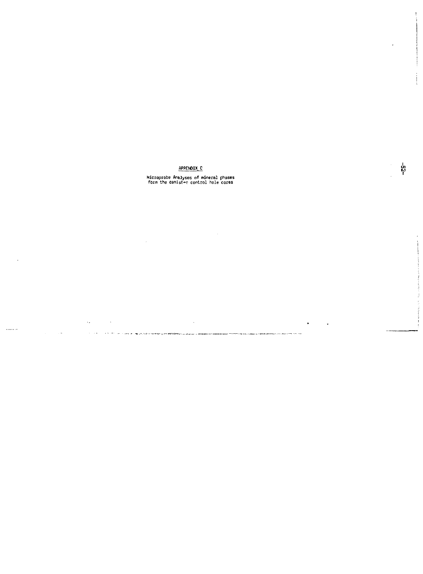## APPENDIX, C

# Microprobe Analyses of mineral phases form the canister control hole cores

 $\lambda$ 

 $\label{eq:3.1} \begin{split} \mathcal{C}^{(0)}(t) & = \mathcal{C}^{(0)}(t) \mathcal{C}^{(0)}(t) + \mathcal{C}^{(0)}(t) \mathcal{C}^{(1)}(t) + \mathcal{C}^{(0)}(t) \mathcal{C}^{(0)}(t) + \mathcal{C}^{(0)}(t) \mathcal{C}^{(0)}(t) + \mathcal{C}^{(0)}(t) \mathcal{C}^{(0)}(t) \\ & = \mathcal{C}^{(0)}(t) \mathcal{C}^{(0)}(t) + \mathcal{C}^{(0)}(t) \mathcal{C}^{(0)}(t) +$ 

. . . . .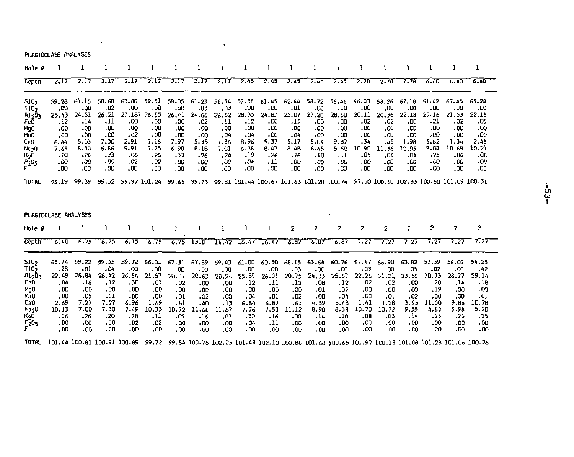PLAGIOCLASE ANALYSES

 $\sim 100$  km s  $^{-1}$ 

| Hole #                                                                                                                |                                                                                  |                                                                                   |                                                                                   |                                                                                  | ı                                                                                |                                                                                  |                                                                                 |                                                                                  | 1                                                                                       |                                                                                 | 1                                                                                |                                                                                  |                                                                                 |                                                                                  |                                                                                  |                                                                                  |                                                                                   | 1                                                                                 | ı                                                                                 |
|-----------------------------------------------------------------------------------------------------------------------|----------------------------------------------------------------------------------|-----------------------------------------------------------------------------------|-----------------------------------------------------------------------------------|----------------------------------------------------------------------------------|----------------------------------------------------------------------------------|----------------------------------------------------------------------------------|---------------------------------------------------------------------------------|----------------------------------------------------------------------------------|-----------------------------------------------------------------------------------------|---------------------------------------------------------------------------------|----------------------------------------------------------------------------------|----------------------------------------------------------------------------------|---------------------------------------------------------------------------------|----------------------------------------------------------------------------------|----------------------------------------------------------------------------------|----------------------------------------------------------------------------------|-----------------------------------------------------------------------------------|-----------------------------------------------------------------------------------|-----------------------------------------------------------------------------------|
| Depth                                                                                                                 | 2,17                                                                             | 2.17                                                                              | 2.17                                                                              | 2.17                                                                             | 2.17                                                                             | 2.17                                                                             | 7.17                                                                            | 2.17                                                                             | 2.45                                                                                    | 2.45                                                                            | 2.45                                                                             | 2.45                                                                             | 2.45                                                                            | 2.76                                                                             | 2.78                                                                             | 2.78                                                                             | 6.40                                                                              | 6.40                                                                              | 6.40                                                                              |
| S10 <sub>2</sub><br>1102<br>AloÖ,<br>FeO<br>MgO<br>MnO<br>CaO<br>NapO<br>$\mathsf{K}_2 \bar{\mathsf{0}}$<br>P205<br>F | 59.28<br>.00<br>25.43<br>.12<br>.00<br>.00<br>6.44<br>7.65<br>. 20<br>.00<br>.00 | 61.15<br>-00<br>24.51<br>14.<br>.00<br>00.<br>5.03<br>8.30<br>.26<br>00.<br>00.   | 58.68<br>.02<br>26,21<br>.11<br>00،<br>00،<br>7.30<br>6.86<br>. 33<br>.00<br>.00  | 63.88<br>.00<br>23,187<br>.00<br>.00<br>.02<br>2.91<br>9.91<br>.06<br>.02<br>.00 | 59.51<br>.00<br>26.55<br>.00<br>.00<br>00.<br>7.16<br>7.75<br>, 26<br>.02<br>.00 | 58.05<br>.00<br>26.41<br>.00<br>,00<br>00،<br>7.97<br>6.90<br>. 33<br>.00<br>.00 | 61,23<br>,03<br>24.66<br>.02<br>.00<br>.00<br>5.35<br>8.18<br>.26<br>.00<br>.00 | 58.54<br>.03<br>26.62<br>.11<br>.00<br>.04<br>7.36<br>7.61<br>.24<br>.00<br>.00  | 57.38<br>.00<br>28.35<br>.12<br>.00<br>04ء<br>8.96<br>6.38<br>.19<br>.04<br>00،         | 61.45<br>.co<br>24.83<br>,00<br>.00<br>.00<br>5.37<br>8.47<br>.26<br>.11<br>00، | 62.64<br>.01<br>25.07<br>.15<br>.00<br>.04<br>5.17<br>8.4B<br>.26<br>- 00<br>.00 | 58.72<br>.00<br>27,20<br>.00<br>.00<br>00ء<br>8.04<br>6.45<br>-40<br>.00<br>00،  | 56.46<br>.10<br>28.60<br>۵۵.<br>.00<br>.00<br>9.87<br>5.60<br>.11<br>00،<br>۰∞  | 66.03<br>,00<br>20.11<br>.02<br>00،<br>.00<br>. 34<br>10.90<br>.05<br>00.<br>00، | 68.26<br>.00<br>20.36<br>.02<br>.00<br>00.<br>.45<br>11.36<br>.04<br>.00<br>.00  | 67.18<br>.00<br>22.18<br>.00<br>.00<br>00،<br>1.98<br>10.95<br>.04<br>.00<br>.00 | 61.42<br>.co<br>25.16<br>.21<br>.00<br>٥٥،<br>5.62<br>8.07<br>.25<br>- 00<br>- 00 | 67.45<br>.00<br>21.53<br>.02<br>.00<br>.00<br>1.34<br>10.69<br>- 06<br>.00<br>.00 | 65.28<br>.00<br>22.18<br>0۶.<br>.00<br>.co<br>2.49<br>10.21<br>-08<br>- 00<br>00، |
| <b>TOTAL</b>                                                                                                          | 99.19                                                                            | 99.39                                                                             | 99.52                                                                             |                                                                                  | 99.97 101.24                                                                     | 99.65                                                                            |                                                                                 |                                                                                  | 99.73 99.81 101.44 100.67 101.63 101.20 100.74 97.50 100.50 102.33 100.80 101.09 100.31 |                                                                                 |                                                                                  |                                                                                  |                                                                                 |                                                                                  |                                                                                  |                                                                                  |                                                                                   |                                                                                   |                                                                                   |
| Hole #                                                                                                                | PLAGIOCLASE ANALYSES<br>ı                                                        | 1                                                                                 | ı                                                                                 | ı                                                                                | 1                                                                                | 1                                                                                | ı                                                                               | 1                                                                                | 1                                                                                       | 1                                                                               | 2                                                                                | $\overline{\mathbf{2}}$                                                          | $\overline{2}$                                                                  | 2                                                                                | $\mathbf{z}$                                                                     | $\overline{2}$                                                                   | 2                                                                                 | $\overline{\mathbf{z}}$                                                           | $\mathbf{2}$                                                                      |
| Depth                                                                                                                 | 6,40                                                                             | 6.75                                                                              | 6.75                                                                              | 6.75                                                                             | 6.75                                                                             | 6.75                                                                             | 13.8                                                                            | 14.42                                                                            | 16.47                                                                                   | 16.47                                                                           | 6.87                                                                             | 6.67                                                                             | 6,67                                                                            | 7.27                                                                             | 7.27                                                                             | 7.27                                                                             | 7.27                                                                              | 7.27                                                                              | 7.27                                                                              |
| 510 <sub>2</sub><br>T <sub>10</sub><br>ուշնչ<br>FeD<br>MgO<br>MnO<br>CaO<br>Na <sub>2</sub> 0<br>$K_20$<br>$r^{20}$   | 65.74<br>.28<br>22.49<br>.04<br>.00<br>.00<br>2.69<br>10.13<br>.06<br>.00<br>.00 | 59.22<br>.01<br>26.84<br>.16<br>.00<br>-05<br>7.27<br>7.00<br>$-26$<br>.00<br>-00 | 59.55<br>۵4،<br>26.42<br>, 12<br>00،<br>-01<br>7.27<br>7.30<br>. 20<br>.00<br>.00 | 59.32<br>.00<br>26.54<br>.30<br>.00<br>.00<br>6.96<br>7.49<br>.28<br>.02<br>.00. | 66.01<br>.00<br>21.57<br>03.<br>.00<br>.00<br>1.69<br>10.33<br>-11<br>.02<br>00، | 67.31<br>.00<br>20.87<br>.02<br>.00<br>.01<br>.81<br>10.72<br>.09<br>.00<br>00.  | 67.89<br>.00<br>20.63<br>.00<br>.00<br>02ء<br>.40<br>11.66<br>.16<br>.00<br>.00 | 69.43<br>.00<br>20.94<br>.00<br>.co<br>CO.<br>. 13<br>11.67<br>.e7<br>.00<br>00. | 61.00<br>00،<br>25.59<br>.12<br>.00<br>.04<br>6.64<br>7.76<br>.30<br>.04<br>.00         | 60.50<br>.00<br>26.91<br>.11<br>.00<br>.01<br>6.87<br>7.53<br>.16<br>.11<br>.00 | 68.15<br>.03<br>20.75<br>.12<br>.00<br>.02<br>.61<br>11.12<br>.00<br>.00<br>.00  | 63.64<br>.00<br>24,33<br>,08<br>.01<br>,00<br>4.59<br>8.90<br>.14<br>.00<br>.00. | 60.76<br>.00<br>25.67<br>.12<br>.02<br>.04<br>5.48<br>8.38<br>.18<br>.00<br>.00 | 67.47<br>03،<br>22.26<br>.02<br>.00<br>.00<br>1.41<br>10.70<br>.08<br>.00<br>.00 | 66.90<br>.00<br>21.21<br>.02<br>.00<br>.01<br>1.28<br>10.72<br>.03<br>.00<br>00. | 63.82<br>.05<br>23.56<br>.co<br>.00<br>.02<br>3.95<br>9.55<br>4٤.<br>.co<br>.00  | 53,59<br>.02<br>30.73<br>- 20<br>.19<br>00.<br>11.50<br>4.82<br>.23<br>.00<br>00. | 56.07<br>.00<br>28.77<br>,14<br>.00<br>.00<br>9.86<br>5.98<br>-23<br>.00<br>.cc   | 54.25<br>.42<br>29.14<br>, 18<br>.თ<br>.L.<br>10.78<br>5.20<br>. 25<br>٥٥.<br>.co |
|                                                                                                                       |                                                                                  |                                                                                   |                                                                                   |                                                                                  |                                                                                  |                                                                                  |                                                                                 |                                                                                  |                                                                                         |                                                                                 |                                                                                  |                                                                                  |                                                                                 |                                                                                  |                                                                                  |                                                                                  |                                                                                   |                                                                                   |                                                                                   |

 $\sim$ 

 $-23-$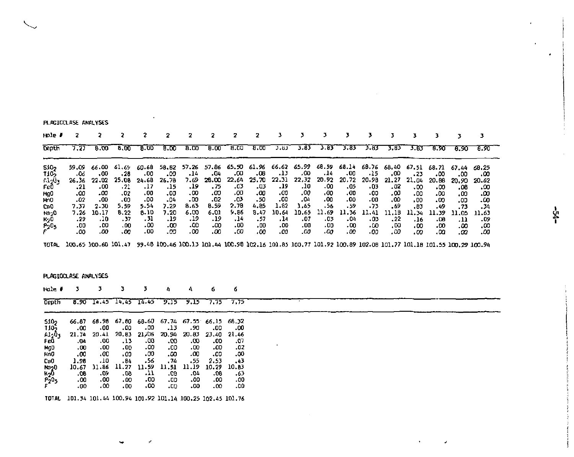|                                                                                                                                | PLAGIOCLASE ANALYSES                                                             |                                                                                  |                                                                                                                                           | ٠                                                                                |                                                                                       |                                                                                   |                                                                                   |                                                                                 |                                                                                 |                                                                                  |                                                                                  |                                                                                 |                                                                                  |                                                                                  |                                                                                   |                                                                                   |                                                                                 |                                                                                 |                                                                                |
|--------------------------------------------------------------------------------------------------------------------------------|----------------------------------------------------------------------------------|----------------------------------------------------------------------------------|-------------------------------------------------------------------------------------------------------------------------------------------|----------------------------------------------------------------------------------|---------------------------------------------------------------------------------------|-----------------------------------------------------------------------------------|-----------------------------------------------------------------------------------|---------------------------------------------------------------------------------|---------------------------------------------------------------------------------|----------------------------------------------------------------------------------|----------------------------------------------------------------------------------|---------------------------------------------------------------------------------|----------------------------------------------------------------------------------|----------------------------------------------------------------------------------|-----------------------------------------------------------------------------------|-----------------------------------------------------------------------------------|---------------------------------------------------------------------------------|---------------------------------------------------------------------------------|--------------------------------------------------------------------------------|
| Hole #                                                                                                                         | 2                                                                                | 2                                                                                | 2                                                                                                                                         | 2                                                                                | 2                                                                                     | 2                                                                                 | 2                                                                                 | z                                                                               | 2                                                                               | з                                                                                | 3                                                                                | з                                                                               | 3                                                                                | 3                                                                                | 3                                                                                 | 3                                                                                 | 3                                                                               | 3                                                                               | 3                                                                              |
| Depth                                                                                                                          | 7.27                                                                             | 8.00                                                                             | 8.00                                                                                                                                      | 8.00                                                                             | 8.00                                                                                  | 8.00                                                                              | 8.00                                                                              | 8.00                                                                            | 8.00                                                                            | 3.83                                                                             | 3.83                                                                             | 3.83                                                                            | 3.83                                                                             | 3.83                                                                             | 3.83                                                                              | 3.83                                                                              | 8.90                                                                            | 6.90                                                                            | 8.90                                                                           |
| 510 <sub>2</sub><br>T105<br>4320 <sub>3</sub><br>FeŌ<br>MgO<br>Mn0<br>CaU<br>Na <sub>2</sub> 0<br>K <sub>2</sub> 0<br>$r^{20}$ | 59.09<br>06.<br>26.36<br>.21<br>٥٥.<br>.02<br>7.37<br>7.26<br>.29<br>.00<br>-00  | 66.00<br>,00<br>22.02<br>.00<br>-00<br>.00<br>2.30<br>10.17<br>.10<br>00.<br>.00 | 61,69<br>, 28<br>25.08<br>- 21<br>.02<br>.00<br>5.59<br>8.22<br>.37<br>.00.<br>.00                                                        | 60.68<br>.00<br>24.68<br>.17<br>.00<br>.00<br>5.54<br>8.10<br>- 31<br>.00<br>.00 | 58.82<br>.00<br>26.78<br>. 15<br>.00<br>.04<br>7.29<br>7.20<br>.19<br>.00<br>- 00     | 57.26<br>$-14$<br>7.69<br>.19<br>.00<br>- 00<br>8.63<br>6.00<br>19.<br>.00<br>.00 | 57.86<br>.04<br>28.00<br>.75<br>.oo<br>.02<br>8.59<br>6.01<br>.19<br>.00<br>00،   | 65.50<br>.co<br>22.64<br>.03<br>.00<br>-03<br>2.70<br>9.86<br>.14<br>.00<br>.00 | 61.96<br>.06<br>25.70<br>.03<br>.00<br>.50<br>4.85<br>8.47<br>.57<br>00,<br>00، | 66.62<br>دı.<br>22.31<br>19.<br>00.<br>.00<br>1.82<br>10.64<br>.14<br>00،<br>00، | 65.99<br>00،<br>22,32<br>.10<br>.00<br>,04<br>1.65<br>10.65<br>.07<br>.00<br>.00 | 68.59<br>.14<br>20.92<br>.00<br>00،<br>.00<br>.56<br>11.69<br>.03<br>.00<br>00، | 68.14<br>.00<br>20.72<br>.05<br>.00<br>.00<br>. 59<br>11.36<br>.04<br>.00<br>.00 | 68.76<br>.15<br>20.98<br>٠03<br>00٠<br>.00<br>.73<br>11.41<br>- 03<br>.00<br>٥٥. | 68,40<br>,00<br>21.27<br>.02<br>. 00<br>.00<br>.69<br>11,18<br>.22<br>,00<br>. 00 | 67.51<br>.23<br>21.04<br>- 00<br>.00<br>.00<br>,83<br>11,34<br>.16<br>00.<br>, ٥٥ | 68.71<br>.00<br>20.66<br>.00<br>00.<br>.00<br>.49<br>11.39<br>.08<br>00،<br>.00 | 67.44<br>.00<br>20,90<br>.08<br>00,<br>00.<br>.73<br>11.05<br>.11<br>.00<br>۵۵. | 68.25<br>۰œ<br>20.62<br>.00<br>.00<br>.co<br>.34<br>11.63<br>.09<br>00,<br>۰.α |
|                                                                                                                                |                                                                                  |                                                                                  | TOTAL 100.65 100.60 101.47 99.48 100.46 100.13 101.44 100.98 102.16 101.85 100.77 101.92 109.89 102.08 101.77 101.18 101.55 100.29 100.94 |                                                                                  |                                                                                       |                                                                                   |                                                                                   |                                                                                 |                                                                                 |                                                                                  |                                                                                  |                                                                                 |                                                                                  |                                                                                  |                                                                                   |                                                                                   |                                                                                 |                                                                                 |                                                                                |
| Hale #                                                                                                                         | PLAGIOCLASE ANALYSES<br>3                                                        | 3                                                                                | 3                                                                                                                                         | 3                                                                                | 4                                                                                     | 4                                                                                 | 6                                                                                 | 6                                                                               |                                                                                 |                                                                                  |                                                                                  |                                                                                 |                                                                                  |                                                                                  |                                                                                   |                                                                                   |                                                                                 |                                                                                 |                                                                                |
| <b>Oepth</b>                                                                                                                   | 8.90                                                                             | 14.45                                                                            | 14,45                                                                                                                                     | 14.45                                                                            | 9.15                                                                                  | 9.15                                                                              | 7.75                                                                              | 7.75                                                                            |                                                                                 |                                                                                  |                                                                                  |                                                                                 |                                                                                  |                                                                                  |                                                                                   |                                                                                   |                                                                                 |                                                                                 |                                                                                |
| 5105<br>1105<br>A1-03<br>FeO<br>MgD<br>MnO<br>Ca0<br>Na <sub>2</sub> 0<br>KņŌ<br>$^{P_20}$ 5                                   | 66.87<br>.00<br>21.74<br>.04<br>.00<br>00،<br>1.98<br>10.67<br>.08<br>00،<br>00، | 66.98<br>.00<br>20.41<br>.00<br>.00<br>00،<br>.10<br>11.86<br>-09<br>00.<br>.00  | 67.80<br>.00<br>20.83<br>.13<br>00.<br>٥٥.<br>.84<br>11.27<br>- 00<br>.00<br>.00                                                          | 68.60<br>- 00<br>21.06<br>-00<br>.00<br>.00<br>.56<br>11.59<br>-11<br>.00<br>,00 | 67.74<br>.13<br>20.94<br>$\alpha$<br>00،<br>.00<br>, 74<br>11.51<br>.ce<br>.00<br>-00 | 67.55<br>.90<br>20.83<br>.co<br>.00<br>00،<br>.55<br>11.19<br>.04<br>.00<br>.00   | 66.15<br>.00<br>23.40<br>.00<br>.00<br>.00<br>2.53<br>10.29<br>.08<br>.00<br>.00. | 68.32<br>.00<br>21,46<br>.07<br>.02<br>.00<br>.43<br>10.83<br>.63<br>.00<br>.00 |                                                                                 |                                                                                  |                                                                                  |                                                                                 |                                                                                  |                                                                                  |                                                                                   |                                                                                   |                                                                                 |                                                                                 |                                                                                |
|                                                                                                                                |                                                                                  |                                                                                  | TOTAL 101.34 101.44 100.94 101.92 101.14 100.25 102.45 101.76                                                                             |                                                                                  |                                                                                       |                                                                                   |                                                                                   |                                                                                 |                                                                                 |                                                                                  |                                                                                  |                                                                                 |                                                                                  |                                                                                  |                                                                                   |                                                                                   |                                                                                 |                                                                                 |                                                                                |

.<br>م

 $\epsilon$  $\epsilon$  $\star$  .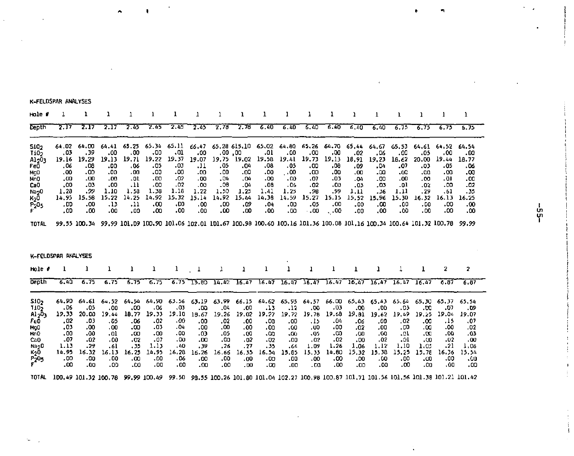| Hole #                                                                                                               |                                                                                  |                                                                                                                                   |                                                                                  |                                                                                         | 1                                                                                |                                                                                  |                                                                                  |                                                                            |                                                                                  |                                                                                  | 1                                                                                     | 1                                                                               |                                                                                          | 1                                                                                | 1                                                                               |                                                                                  | ı                                                                               | 1                                                                               | ı                                                                                |
|----------------------------------------------------------------------------------------------------------------------|----------------------------------------------------------------------------------|-----------------------------------------------------------------------------------------------------------------------------------|----------------------------------------------------------------------------------|-----------------------------------------------------------------------------------------|----------------------------------------------------------------------------------|----------------------------------------------------------------------------------|----------------------------------------------------------------------------------|----------------------------------------------------------------------------|----------------------------------------------------------------------------------|----------------------------------------------------------------------------------|---------------------------------------------------------------------------------------|---------------------------------------------------------------------------------|------------------------------------------------------------------------------------------|----------------------------------------------------------------------------------|---------------------------------------------------------------------------------|----------------------------------------------------------------------------------|---------------------------------------------------------------------------------|---------------------------------------------------------------------------------|----------------------------------------------------------------------------------|
| Depth                                                                                                                | 2.17                                                                             | 2.17                                                                                                                              | 2.17                                                                             | 2.45                                                                                    | 2.45                                                                             | 2.45                                                                             | 2.45                                                                             | 7.78                                                                       | 2.78                                                                             | 6.40                                                                             | 6.40                                                                                  | 6.40                                                                            | 6.40                                                                                     | 6,40                                                                             | 6.40                                                                            | 6.75                                                                             | 6.75                                                                            | 6.75                                                                            | 6.75                                                                             |
| 5102<br>Ti02<br>A1203<br>FeO<br>MQD<br><b>MnO</b><br>Ca <sub>0</sub><br>Na <sub>2</sub> 0<br>KoŌ<br>F <sub>205</sub> | 64.02<br>,03<br>19.16<br>.06<br>.00<br>.00<br>.00<br>1.28<br>14.95<br>.00<br>.00 | 64,00<br>.39<br>19.29<br>- 08<br>.00<br>.00<br>.03<br>.99<br>15.58<br>.00<br>.00                                                  | 64.41<br>.00<br>19.13<br>.00<br>.00<br>.00<br>.00<br>1.10<br>15.22<br>د1.<br>.00 | 65.25<br>.00<br>19.71<br>.06<br>.00<br>.01<br>$\cdot$ 11<br>1.58<br>14.25<br>.11<br>.00 | 65.34<br>.00<br>19.22<br>٥5.<br>.00<br>.00<br>.00<br>1.38<br>14.92<br>.00<br>.00 | 65.11<br>01.<br>19.37<br>03.<br>.00<br>.02<br>.02<br>1.18<br>15.32<br>.00<br>.00 | 66.47<br>.00<br>19.07<br>.11<br>.00<br>.00<br>.00<br>1.22<br>15.14<br>.00<br>.00 | ,00,00<br>19.75<br>.05<br>.00<br>.04<br>.08<br>1.50<br>14.92<br>.00<br>.00 | 65.28 615.10<br>19.02<br>04.<br>.00<br>.04<br>.04<br>1.25<br>15.44<br>.09<br>.00 | 65.02<br>.01<br>19.58<br>.08<br>.00<br>.00<br>.08<br>1.41<br>14.38<br>.04<br>٥٥. | 64.80<br>00،<br>19.41<br>. 05<br>. . 00<br>.00<br>.06<br>1.25<br>14.59<br>.00<br>- 00 | 65.26<br>.00<br>19.73<br>.00<br>.00<br>.07<br>.02<br>.98<br>15.27<br>.05<br>.00 | 64,70<br>.00<br>19,13<br>.08<br>00،<br>.03<br>.00<br>.99<br>15.15<br>,00<br>$\ddotsc 00$ | 65.44<br>.02<br>18.91<br>09،<br>.00<br>.04<br>.03<br>1.11<br>15.52<br>.00<br>.00 | 64.67<br>.06<br>19.23<br>.04<br>.00<br>.00<br>.03<br>.36<br>15.96<br>.00<br>.00 | 65.53<br>00،<br>18.62<br>07.<br>.00<br>.00<br>.01<br>1.11<br>15.30<br>.00<br>.00 | 64.61<br>.05<br>20.00<br>ده.<br>.co<br>.co<br>.02<br>.29<br>16.32<br>00.<br>00. | 64.52<br>00،<br>19.44<br>۰05<br>.co<br>-01<br>.00<br>.61<br>16.13<br>00.<br>.00 | 64.54<br>- 00<br>18.77<br>06.<br>.co<br>.00<br>-02<br>.35<br>16.25<br>.00<br>.00 |
| <b>TOTAL</b>                                                                                                         |                                                                                  | 99.55 100.34 99.99 101.09 100.90 101.06 102.01 101.67 100.98 100.60 100.16 101.36 100.08 101.16 100.34 100.64 101.32 100.78 99.99 |                                                                                  |                                                                                         |                                                                                  |                                                                                  |                                                                                  |                                                                            |                                                                                  |                                                                                  |                                                                                       |                                                                                 |                                                                                          |                                                                                  |                                                                                 |                                                                                  |                                                                                 |                                                                                 |                                                                                  |
| Hole #                                                                                                               | K-FELDSPAR ANALYSES                                                              | 1                                                                                                                                 | ı                                                                                | ı                                                                                       | ı                                                                                |                                                                                  |                                                                                  |                                                                            |                                                                                  |                                                                                  |                                                                                       |                                                                                 |                                                                                          |                                                                                  |                                                                                 |                                                                                  | 1                                                                               | 2                                                                               | $\overline{\mathbf{2}}$                                                          |
| Depth                                                                                                                | 6.40                                                                             | 6.75                                                                                                                              | 6.75                                                                             | 6.75                                                                                    | 6.75                                                                             | 6.75                                                                             | 13.80                                                                            | 14.42                                                                      | 16.47                                                                            | 16.47                                                                            | 16.47                                                                                 | 16.47                                                                           | 16.47                                                                                    | 16.47                                                                            | 16.47                                                                           | 16,47                                                                            | 16.47                                                                           | 6.87                                                                            | 6.87                                                                             |
| 510-<br>1105<br>Ai <sub>2</sub> D <sub>3</sub>                                                                       | 64.90<br>06ء                                                                     | 64.61<br>٥5.                                                                                                                      | 64.52<br>.00                                                                     | 64.54<br>.00                                                                            | 64.90<br>- 06                                                                    | 63.56<br>. 03                                                                    | 63.19<br>- 00                                                                    | 63.99<br>.04                                                               | 66.15<br>.00                                                                     | 64.62<br>د،.                                                                     | 65.95<br>.12                                                                          | 64.57<br>.00                                                                    | 66.00<br>$-03$                                                                           | 65.43<br>.00                                                                     | 65.43<br>.00                                                                    | 65.64<br>.03                                                                     | 65,30<br>.00                                                                    | 65.37<br>.07                                                                    | 65.54<br>. D9                                                                    |

 $\lambda$ 

K-FELDSPAR ANALYSES

ងូ

 $\overline{a}$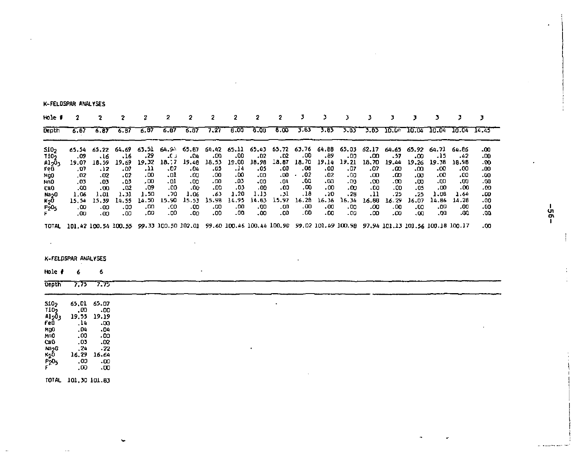K-FELDSPAR ANALYSES

| Hole 1                                                                                                         | 2                                                                                |                                                                                   |                                                                                                                           |                                                                                   | 2                                                                               | 2                                                                                  |                                                                                 | 2                                                                                | 2                                                                                | 2                                                                               | 3                                                                               | 3                                                                               | з                                                                                | ٦                                                                               | ٦                                                                                |                                                                                | з                                                                                | э                                                                                | э                                                                          |
|----------------------------------------------------------------------------------------------------------------|----------------------------------------------------------------------------------|-----------------------------------------------------------------------------------|---------------------------------------------------------------------------------------------------------------------------|-----------------------------------------------------------------------------------|---------------------------------------------------------------------------------|------------------------------------------------------------------------------------|---------------------------------------------------------------------------------|----------------------------------------------------------------------------------|----------------------------------------------------------------------------------|---------------------------------------------------------------------------------|---------------------------------------------------------------------------------|---------------------------------------------------------------------------------|----------------------------------------------------------------------------------|---------------------------------------------------------------------------------|----------------------------------------------------------------------------------|--------------------------------------------------------------------------------|----------------------------------------------------------------------------------|----------------------------------------------------------------------------------|----------------------------------------------------------------------------|
| Depth                                                                                                          | $-6.87$                                                                          | 6.87                                                                              | 6.87                                                                                                                      | 5.67                                                                              | 6.07                                                                            | 6.87                                                                               | 7.27                                                                            | 6.00                                                                             | 6.00                                                                             | 8.00                                                                            | 3.83                                                                            | 3.83                                                                            | 3.85                                                                             | 7.85                                                                            | 10.00                                                                            | 10.04                                                                          | 10.04                                                                            | 10.04                                                                            | 14.45                                                                      |
| SiO <sub>2</sub><br>1105<br>A1203<br>FeD<br>NgO<br>NnO<br>CaO<br>Na20<br>K20<br>F <sub>F</sub>                 | 65.54<br>.09<br>19.07<br>.07<br>,02<br>,03<br>.00<br>1,06<br>15.54<br>,00<br>,00 | 65.22<br>-16<br>18.59<br>2٤.<br>.02<br>.03<br>.00<br>1.01<br>15.39<br>.00<br>- 00 | 64.69<br>.16<br>19.69<br>07.<br>.02<br>$-03$<br>.02<br>1.31<br>14.55<br>.00<br>.00                                        | 63,51<br>, 29<br>19.32<br>11,<br>,00<br>,00<br>.09<br>1.50<br>14.50<br>,00<br>00, | 64.94<br>L).<br>18.7<br>-07<br>-01<br>-01<br>-00<br>- 70<br>15.90<br>.00<br>.00 | 65.87<br>-04<br>19.48<br>04،<br>.00<br>.00<br>.00.<br>1.06<br>15.53<br>.00<br>.00. | 64.42<br>.00<br>18.53<br>50.<br>.00<br>۵۵.<br>.00<br>.63<br>15.98<br>.00<br>.00 | 65.11<br>.00<br>19.00<br>.14<br>.00<br>-03<br>.03<br>1.20<br>34.95<br>.00<br>.00 | 65.43<br>.02<br>18.98<br>05.<br>.00<br>00.<br>.00<br>1.13<br>14.83<br>.00<br>.00 | 65.72<br>.02<br>18.87<br>.00<br>.00<br>.04<br>.00<br>.31<br>15.92<br>.00<br>.00 | 63.76<br>,00<br>18.70<br>.08<br>.02<br>.00<br>.00<br>.18<br>16.28<br>.00<br>.00 | 64.88<br>.89<br>19.14<br>00،<br>.02<br>.00<br>.00<br>.20<br>16.36<br>00،<br>00. | 65.03<br>.00<br>19.21<br>- 07<br>.00<br>-00<br>٥ο.<br>.28<br>16.34<br>.00<br>.00 | 62.17<br>.00<br>18.70<br>07.<br>-00<br>.00<br>.00<br>.11<br>16.88<br>.00<br>-00 | 64.65<br>.57<br>19.44<br>α٥.<br>0۵.<br>- 00<br>.00<br>.25<br>16.29<br>.00<br>.00 | 65.92<br>.00<br>19.26<br>.ೲ<br>.00<br>.00<br>.05<br>.25<br>16.07<br>.00<br>.00 | 64.71<br>.15<br>19.38<br>-00<br>.00<br>.00<br>-00<br>1.08<br>14.86<br>-00<br>.00 | 64.86<br>,42<br>18.98<br>.co<br>.00<br>.00<br>.00<br>1.64<br>14.28<br>00,<br>.00 | .00<br>.00<br>.00<br>-00<br>.00<br>.00<br>.00<br>- 00<br>.00<br>00.<br>00. |
| TOTAL                                                                                                          |                                                                                  |                                                                                   | 101.42 100.54 100.55 99.33 100.50 102.01 99.60 100.46 100.44 100.90 99.02 101.49 100.98 97.94 101.13 101.56 100.18 100.17 |                                                                                   |                                                                                 |                                                                                    |                                                                                 |                                                                                  |                                                                                  |                                                                                 |                                                                                 |                                                                                 |                                                                                  |                                                                                 |                                                                                  |                                                                                |                                                                                  |                                                                                  | .00                                                                        |
| $\bullet$<br>Hole #<br>Depth                                                                                   | K-FELDSPAR ANALYSES<br>6<br>7.75                                                 | 6<br>7.75                                                                         |                                                                                                                           |                                                                                   |                                                                                 |                                                                                    |                                                                                 |                                                                                  |                                                                                  |                                                                                 |                                                                                 |                                                                                 |                                                                                  |                                                                                 |                                                                                  |                                                                                |                                                                                  |                                                                                  |                                                                            |
| 5102<br>T10 <sub>2</sub><br>Al 203<br>FeŌ<br>MgO<br>MnO<br>Cs0<br>Na <sub>2</sub> 0<br>K2Ō<br>րջ0 <sub>5</sub> | 65.01<br>.00<br>19,55<br>.14<br>.04<br>.00<br>.03<br>, 24<br>16.29<br>00.<br>,00 | 65.07<br>.00<br>19.19<br>.00<br>-04<br>.00<br>-02<br>.22<br>16.64<br>-00<br>.00   |                                                                                                                           |                                                                                   |                                                                                 |                                                                                    |                                                                                 |                                                                                  |                                                                                  |                                                                                 |                                                                                 |                                                                                 |                                                                                  |                                                                                 |                                                                                  |                                                                                |                                                                                  |                                                                                  |                                                                            |

 $-95 -$ 

مستحدث ومستناه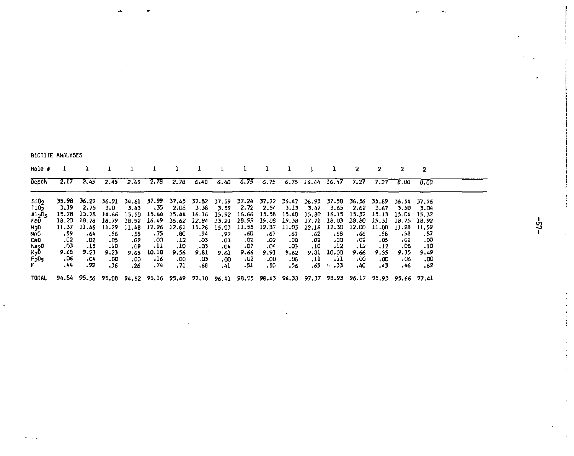BIOTITE ANALYSES

| $Hole$ #                             |                     |                                        |                   |                     |                                                                                                                                                                                     |                   |                   |                               |                    |                   |                    |                    |                            |                    | 2                 |                                                             | -2                 |  |
|--------------------------------------|---------------------|----------------------------------------|-------------------|---------------------|-------------------------------------------------------------------------------------------------------------------------------------------------------------------------------------|-------------------|-------------------|-------------------------------|--------------------|-------------------|--------------------|--------------------|----------------------------|--------------------|-------------------|-------------------------------------------------------------|--------------------|--|
| Depth                                |                     | $2.17$ $2.45$                          |                   |                     | $2.45$ $2.45$ $2.78$ $2.78$ $6.40$ $6.40$ $6.75$ $6.75$ $6.75$ $16.44$ $16.47$ $7.27$                                                                                               |                   |                   |                               |                    |                   |                    |                    |                            |                    |                   | 7.27 8.00 8.00                                              |                    |  |
| S10 <sub>2</sub><br>liO <sub>2</sub> |                     | 3.19 2.75 3.0                          |                   |                     | 35.98 36.29 36.91 34.61 37.99 37.45 37.82 37.59 37.24 37.72 36.47 36.93 37.58 36.56 35.89 36.54 37.76<br>3.43 35 2.08                                                               |                   |                   | 3.38 3.59 2.72 2.54 3.13 3.47 |                    |                   |                    |                    |                            | 3.65 2.62          | 3.67              | 5.50                                                        | 3.D4               |  |
| A1203<br>reo<br>MQD                  | 11.37               | 15.28 15.28 14.66<br>18.20 18.78 18.79 | 11.46 11.29       |                     | 15.50 15.44 15.44 16.16 15.92 16.66 15.58 15.40 15.80<br>18.92 16.49 16.62 12.84 13.21 18.99 19.08 19.38 17.71<br>11.48 12.96 12.61 15.26 15.03 11.55 12.37 11.03 12.16 12.30 12.00 |                   |                   |                               |                    |                   |                    |                    | 18.03 18.80 19.51          |                    | 11.00             | 16.15 15.32 15.13 15.04 15.32<br>18.75 18.92<br>11.28 11.59 |                    |  |
| MnO<br>CaO                           | . 59<br>.02<br>03.  | - 64<br>-02<br>$-15$                   | .56<br>.05<br>.10 | . 55<br>- 02<br>.09 | . 75<br>.on<br>.11                                                                                                                                                                  | .80<br>.12<br>.10 | .94<br>.03<br>.03 | . 99<br>.03<br>.04            | -60<br>.02<br>.07  | .67<br>.02<br>.04 | . 67<br>.00<br>.03 | . 62<br>.02<br>.10 | .68<br>.00<br>.12          | . 66<br>-02<br>.12 | .58<br>.05<br>.12 | .58<br>.02<br>.08                                           | . 57<br>-00<br>.10 |  |
| Na20<br>K20<br>P205                  | 9.68<br>. 06<br>.44 | 9.23<br>04.<br>.92                     | 9.23<br>.00       | .00                 | 9.65 10.18 9.56<br>-16                                                                                                                                                              | .00               | 9.81<br>. 05      | 9.61<br>.00.                  | 9.66<br>-02<br>.51 | 9.91<br>.00       | 9.62<br>- 06       | 9.81<br>.11        | 10.00<br>- 11<br>$\sim$ 33 | 9.66<br>00.<br>.40 | 9.55<br>00،       | 9.35<br>- 06                                                | 9.49<br>.00        |  |
| TOTAL                                |                     |                                        | ، 36              | .26                 | . 74<br>94.84 95.56 95.08 94.52 95.16 95.49 97.10 96.41 98.05 98.43 96.33 97.37 98.93 96.17 95.93 95.66 97.41                                                                       | - 71              | . 68              | -41                           |                    | .50               | - 56               | .65                |                            |                    | . 43              | . 46                                                        | .62                |  |

ង៉ូ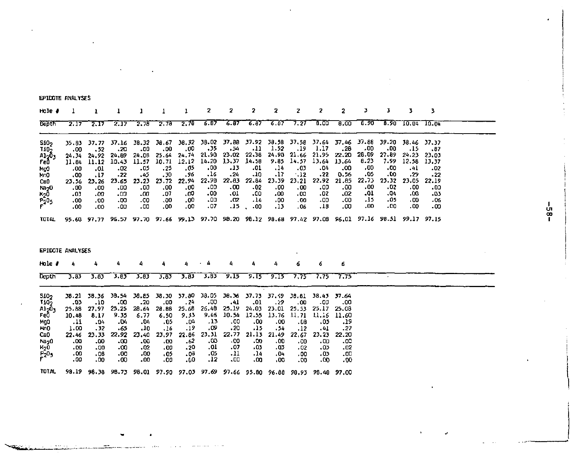EPIDOTE ANALYSES

| Hole #                                                                                                           |                                                                                     |                                                                                                                                                                                            | ı                                                                                   |                                                                                     |                                                                                   | 1                                                                                  | 2                                                                                 |                                                                                      | 2                                                                                 | 2                                                                                  | 2                                                                                        | 2                                                                                   | 2                                                                                    |                                                                                  | 3                                                                                  | 3                                                                                   | 3                                                                                     |  |
|------------------------------------------------------------------------------------------------------------------|-------------------------------------------------------------------------------------|--------------------------------------------------------------------------------------------------------------------------------------------------------------------------------------------|-------------------------------------------------------------------------------------|-------------------------------------------------------------------------------------|-----------------------------------------------------------------------------------|------------------------------------------------------------------------------------|-----------------------------------------------------------------------------------|--------------------------------------------------------------------------------------|-----------------------------------------------------------------------------------|------------------------------------------------------------------------------------|------------------------------------------------------------------------------------------|-------------------------------------------------------------------------------------|--------------------------------------------------------------------------------------|----------------------------------------------------------------------------------|------------------------------------------------------------------------------------|-------------------------------------------------------------------------------------|---------------------------------------------------------------------------------------|--|
| Depth                                                                                                            | 2.17                                                                                | 2.17                                                                                                                                                                                       | 2.17                                                                                | 2.78                                                                                | 2.78                                                                              | 2.78                                                                               | 6.87                                                                              | 6.87                                                                                 | 6.87                                                                              | 6.67                                                                               | 7.27                                                                                     | 0.00                                                                                | 8,00                                                                                 | 6.90                                                                             |                                                                                    | $8.90\ 10.04$                                                                       | 10.04                                                                                 |  |
| 5102<br>1105<br>A1203<br>FeO<br>No0<br>MrO<br>CaO<br>Na <sub>2</sub> 0<br>K <sub>2</sub> 0<br>P205<br>F<br>τοται | 35.83<br>.00<br>24.34<br>11.84<br>00،<br>,00<br>23.56<br>.00<br>.03<br>.00<br>00،   | 37.77<br>.52<br>24.92<br>11.12<br>.01<br>.17<br>23.26<br>00,<br>.00<br>.00<br>.00<br>95.60 97.77 96.57 97.70 97.66 99.13 97.70 98.20 98.12 98.68 97.42 97.08 96.01 97.16 98.51 99.17 97.15 | 37.16<br>.20<br>24.89<br>10.43<br>.02<br>$-22$<br>23.65<br>.00<br>-00<br>.00<br>.00 | 38.32<br>.00<br>24.06<br>11.57<br>.05<br>45.<br>23.23<br>.00.<br>.00<br>.00<br>.00  | 38.67<br>.00<br>25.64<br>10.71<br>,25<br>.30<br>23.72<br>.00<br>.07<br>.00<br>.00 | 38.32<br>,00<br>24.74<br>12.12<br>,05<br>. 96<br>22.94<br>.00<br>.00<br>.00<br>.00 | 38.02<br>.35<br>51.90<br>14.20<br>00.<br>.16<br>22.98<br>.00<br>.00<br>۵۵.<br>.07 | 37.88<br>, 54<br>23.02<br>13,37<br>-13<br>$-24$<br>22.83<br>.00<br>10,<br>-02<br>.15 | 37.92<br>-11<br>22.36<br>14.58<br>.01<br>-10<br>22.84<br>.02<br>.00<br>.14<br>.00 | 38.58<br>1.52<br>9.85<br>.14<br>.17<br>23.39<br>.00<br>.00<br>.00.<br>.13          | 37.58<br>,19<br>24.90 21.66<br>14.57<br>.03<br>.12<br>23.21<br>.00<br>.00<br>. 60<br>.06 | 37.64<br>1.17<br>21,95<br>13.64<br>.04<br>.22<br>22.92<br>00.<br>.02<br>- 00<br>.18 | 37,46<br>.28<br>22.20<br>13.64<br>.00<br>0.56<br>21.85<br>.00<br>.02<br>.00<br>.00   | 37.88<br>00ء<br>28.09<br>8.23<br>00،<br>٥5.<br>22.73<br>00,<br>.01<br>.15<br>.00 | 39.20<br>- 00<br>27.89<br>7.99<br>.00<br>۵۵.<br>23.32<br>.02<br>04،<br>-05<br>- 00 | 38.46<br>.15<br>24.23<br>12.58<br>.41<br>, 29<br>23.05<br>.00<br>.00.<br>.00<br>.00 | 37.37<br>.87<br>23.03<br>13,37<br>.02<br>.22<br>22.19<br>- 00<br>$-03$<br>.06<br>- 00 |  |
| EPIDOTE ANALYSES                                                                                                 |                                                                                     |                                                                                                                                                                                            |                                                                                     |                                                                                     |                                                                                   |                                                                                    |                                                                                   |                                                                                      |                                                                                   |                                                                                    |                                                                                          |                                                                                     |                                                                                      |                                                                                  |                                                                                    |                                                                                     |                                                                                       |  |
| Hole #                                                                                                           | 4                                                                                   | 4                                                                                                                                                                                          | 4                                                                                   |                                                                                     |                                                                                   |                                                                                    |                                                                                   |                                                                                      |                                                                                   | 4                                                                                  | 6                                                                                        | 6                                                                                   | 6                                                                                    |                                                                                  |                                                                                    |                                                                                     |                                                                                       |  |
| <b>Depth</b>                                                                                                     | 3.83                                                                                | 3.83                                                                                                                                                                                       | 3.85                                                                                | 3.83                                                                                | 5.85                                                                              | 5.83                                                                               | 3.83                                                                              | 9.15                                                                                 | 9.15                                                                              | 9.15                                                                               | 7.75                                                                                     | 7.75                                                                                | 7.75                                                                                 |                                                                                  |                                                                                    |                                                                                     |                                                                                       |  |
| 5102<br>1102<br>وقواه<br>Fe0<br>Mga<br>MnO<br>CaO<br>Na <sub>2</sub> 0<br>K <sub>2</sub> 0<br>Բ205<br>Բ          | 38.21<br>.03<br>25.88<br>10.48<br>.11<br>1.00<br>22,46<br>- 00<br>.00<br>.00<br>0٥، | 38.36<br>-10<br>27.97<br>8.17<br>.04<br>.32<br>23.33<br>.00<br>.00<br>.08<br>.00                                                                                                           | 38.54<br>- 00<br>25.25<br>9.35<br>-04<br>.65<br>22.92<br>-00<br>.00<br>.00<br>.00   | 38.85<br>$-20$<br>28.64<br>6.77<br>.04<br>.10<br>23.40<br>.00<br>.02<br>.00<br>.00. | 38.30<br>.00<br>28.88<br>6.50<br>.05<br>.16<br>23,97<br>.00<br>.00<br>.05<br>.00  | 37.80<br>.24<br>25.68<br>9.33<br>.04<br>.19<br>22.86<br>.62<br>- 20<br>- 08<br>0۵. | 38.05<br>00ء<br>26.48<br>9.46<br>.13<br>-09<br>23.31<br>.00<br>.01<br>.05<br>.12  | 38.36<br>.41<br>25.19<br>10.54<br>.00<br>.20<br>22.77<br>.00<br>.07<br>.11<br>-00    | 37.73<br>.01<br>24.03<br>12.55<br>.00<br>.15<br>21.13<br>.00<br>03ء<br>.14<br>.00 | 37.59<br>, 29<br>23.01<br>13.76<br>.00<br>.54<br>21.49<br>.00<br>.03<br>.04<br>.00 | 38.81<br>.00<br>25.53<br>11.71<br>.ce<br>.12<br>22,67<br>.00<br>.02<br>,00<br>- 00       | 38.43<br>-00<br>25.17<br>11.16<br>.03<br>. 41<br>23.23<br>.co<br>.03<br>.03<br>٥٥.  | 37.64<br>.00<br>25.08<br>11.60<br>.19<br>.27<br>22.20<br>.co<br>$-02$<br>.00<br>.00. |                                                                                  |                                                                                    |                                                                                     |                                                                                       |  |
| <b>TOTAL</b>                                                                                                     |                                                                                     | 98.19 98.38 98.73 98.01 97.90 97.03 97.69 97.66 95.80 96.88 98.93 98.48 97.00                                                                                                              |                                                                                     |                                                                                     |                                                                                   |                                                                                    |                                                                                   |                                                                                      |                                                                                   |                                                                                    |                                                                                          |                                                                                     |                                                                                      |                                                                                  |                                                                                    |                                                                                     |                                                                                       |  |

 $-85-$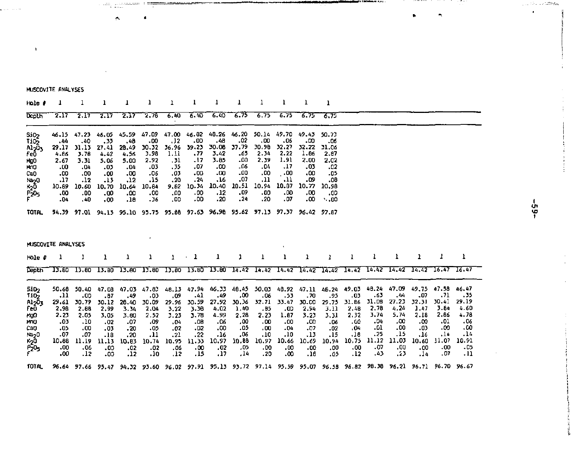MUSCOVITE ANALYSES

 $\overline{1}$ 

a lang

 $\sim$ 

 $\mu$  -considerable  $\mu$  . However,

 $\bullet$ 

| Hole i                                                                                                                      |                                                                                   |                                                                                   |                                                                                    |                                                                                    |                                                                                    |                                                                                   |                                                                                   |                                                                                     |                                                                                    |                                                                                   |                                                                                   |                                                                                    |                                                                                     |                                                                                    |                                                                                     |                                                                                   |                                                                                   |                                                                                   |                                                                                            |
|-----------------------------------------------------------------------------------------------------------------------------|-----------------------------------------------------------------------------------|-----------------------------------------------------------------------------------|------------------------------------------------------------------------------------|------------------------------------------------------------------------------------|------------------------------------------------------------------------------------|-----------------------------------------------------------------------------------|-----------------------------------------------------------------------------------|-------------------------------------------------------------------------------------|------------------------------------------------------------------------------------|-----------------------------------------------------------------------------------|-----------------------------------------------------------------------------------|------------------------------------------------------------------------------------|-------------------------------------------------------------------------------------|------------------------------------------------------------------------------------|-------------------------------------------------------------------------------------|-----------------------------------------------------------------------------------|-----------------------------------------------------------------------------------|-----------------------------------------------------------------------------------|--------------------------------------------------------------------------------------------|
| Depth                                                                                                                       | 2.17                                                                              | 2.17                                                                              | 2.17                                                                               | 2.17                                                                               | 2,76                                                                               | 6.40                                                                              | 6.40                                                                              | 6.40                                                                                | 7.75                                                                               | 6,75                                                                              | 5.75                                                                              | 6.75                                                                               | 6.75                                                                                |                                                                                    |                                                                                     |                                                                                   |                                                                                   |                                                                                   |                                                                                            |
| Si <sub>O2</sub><br>Ti05<br>A1 <sub>2</sub> 0,<br>Feō<br>MgO<br>MOO<br>CaO<br>Na <sub>2</sub> 0<br>$\kappa_2$ ō<br>Բ205<br> | 46.15<br>.44<br>29.17<br>4.86<br>2.67<br>.00<br>.00<br>.17<br>10.89<br>.00<br>.04 | 47.23<br>.40<br>31.13<br>3.78<br>3.31<br>04.<br>.co<br>.12<br>10.60<br>.00<br>.40 | 46.05<br>. 33<br>27,41<br>4.42<br>5.06<br>.03<br>.00<br>.13<br>10.70<br>00.<br>.00 | 45.59<br>.48<br>28.49<br>4.56<br>5.00<br>.04<br>.00<br>.12<br>10.64<br>.co<br>.18  | 47.09<br>.00<br>30.32<br>3.98<br>2.92<br>-03<br>.06<br>,15<br>10.84<br>.co<br>- 36 | 47.00<br>.12<br>36.96<br>1.11<br>. 31<br>. 35<br>.03<br>.20<br>9.82<br>00.<br>.00 | 46.82<br>.00<br>39.23<br>.77<br>.17<br>07.<br>.00<br>.24<br>10.34<br>- 00<br>.00  | 48.26<br>.48<br>30.08<br>3.42<br>3.85<br>٥٥.<br>.00<br>.16<br>10.40<br>, 12<br>, 20 | 46.20<br>.02<br>37.79<br>.65<br>۵۵.<br>.06<br>,00<br>07.<br>10.51<br>.09<br>.24    | 50.14<br>,00<br>30.90<br>2.34<br>2.39<br>.04<br>.00<br>.11<br>10.94<br>.00<br>.20 | 49.70<br>.06<br>32.27<br>2.22<br>1.91<br>.17<br>.00<br>.11<br>10.87<br>.00<br>.07 | 49.43<br>٥ο.<br>32,22<br>1.86<br>2.00<br>.03<br>.00<br>-09<br>10.77<br>.00<br>.00. | 50.73<br>- 06<br>31.06<br>2.87<br>2.02<br>.02<br>-05<br>.08<br>10.98<br>.00<br>0.00 |                                                                                    |                                                                                     |                                                                                   |                                                                                   |                                                                                   |                                                                                            |
| <b>TOTAL</b>                                                                                                                |                                                                                   |                                                                                   |                                                                                    |                                                                                    |                                                                                    |                                                                                   |                                                                                   |                                                                                     | 94.39 97.01 94.13 95.10 95.75 95.88 97.63 96.98 95.62 97.13 97.37 96.42 97.87      |                                                                                   |                                                                                   |                                                                                    |                                                                                     |                                                                                    |                                                                                     |                                                                                   |                                                                                   |                                                                                   |                                                                                            |
| MUSCOVITE ANALYSES<br>$Hole$ $\theta$                                                                                       |                                                                                   |                                                                                   | ı                                                                                  | ı                                                                                  | 1                                                                                  | 1                                                                                 | 1                                                                                 | ı                                                                                   | 1                                                                                  | 1                                                                                 | ı                                                                                 | 1                                                                                  | 1                                                                                   |                                                                                    | ı                                                                                   | ı                                                                                 | 1                                                                                 | 1                                                                                 | ı                                                                                          |
| Depth                                                                                                                       | 13.80                                                                             | 13.80                                                                             | 13.80                                                                              | 13.80                                                                              | 13.80                                                                              |                                                                                   |                                                                                   |                                                                                     | 13.80 13.80 13.80 14.42                                                            | 14.42                                                                             | 14.42                                                                             | 14,42                                                                              | 14.42                                                                               |                                                                                    | $14,42$ $14,42$                                                                     | 14.42                                                                             | 14.42                                                                             | 16.47                                                                             | 16.47                                                                                      |
| SiD <sub>2</sub><br><b>T102</b><br>A1 <sub>2</sub> 03<br>fe0<br>MgO<br>MNO<br>CaO<br>Na <sub>2</sub> 0<br>к20<br>Р205       | 50.68<br>.11<br>29.61<br>2.98<br>2.23<br>.03<br>.05<br>.07<br>10.88<br>00.<br>.00 | 50.40<br>.00<br>30.79<br>2.88<br>2.05<br>.10<br>.00<br>.07<br>11.19<br>.06<br>.12 | 47.08<br>.87<br>30.12<br>2.99<br>3.05<br>.02<br>.03<br>.18<br>11,13<br>.00<br>.00  | 47.03<br>.49<br>26.40<br>3.34<br>3.80<br>07.<br>, 20<br>.20<br>10.83<br>.02<br>,12 | 47.83<br>03ء<br>30.09<br>2.04<br>2.52<br>.09<br>.05<br>.11<br>10.74<br>-02<br>.10  | 48.13<br>.09<br>29.96<br>3.22<br>3.23<br>.04<br>.02<br>.21<br>10.95<br>.06<br>.12 | 47.94<br>.41<br>30.59<br>3.56<br>3.78<br>.08<br>.02<br>.22<br>11.33<br>.00<br>.15 | 46,33<br>.49<br>27.92<br>4.02<br>4.99<br>.06<br>.00<br>.16<br>10,97<br>.02<br>17،   | 48.45<br>,00<br>30.36<br>1.40<br>2.28<br>00.<br>.05<br>,06<br>10.88<br>.05<br>, 14 | 50.03<br>.06<br>32.71<br>. 85<br>2.23<br>.00<br>,00<br>.10<br>10.97<br>.00<br>.20 | 48.92<br>.53<br>33.47<br>.00<br>1.87<br>.00<br>.04<br>.10<br>10.66<br>00.<br>.00  | 47.11<br>.70<br>30.00<br>2.94<br>3.23<br>.cc<br>.07<br>.13<br>10.69<br>.00<br>.16  | 48.24<br>.95<br>29.75<br>3.11<br>3.31<br>06.<br>.02<br>.15<br>10.94<br>.00<br>٥5.   | 49.03<br>.03<br>31.86<br>2.48<br>2.32<br>0۵.<br>, 04<br>.16<br>10.75<br>.00<br>.12 | 48.24<br>- 63<br>31.08<br>2.78<br>3,74<br>.D4<br>.01<br>. 25<br>11.12<br>.07<br>.43 | 47.09<br>.44<br>27.23<br>4,24<br>5.74<br>.00<br>.00<br>.15<br>11.03<br>.00<br>د:. | 49.75<br>.07<br>32.31<br>1.47<br>2.18<br>.co<br>.03<br>.16<br>10.60<br>.00<br>.14 | 47.58<br>.71<br>30.41<br>3.84<br>2.86<br>0۱.<br>.00<br>.14<br>11.07<br>.00<br>07. | 46.47<br>. 35<br>29.19<br>4.60<br>4.78<br>.06<br>.00<br>- 14<br>10.91<br>.05<br>$\cdot$ 11 |

ali 194 **MAR PAGE**  ------

ファイン・ファイル あんり

 $-65-$ 

, ., the setations

 $\epsilon$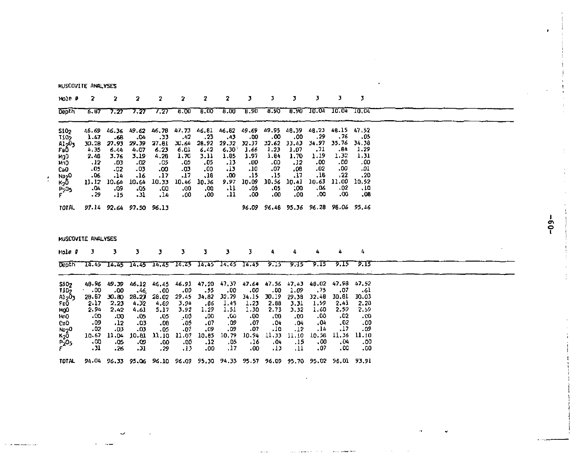| <b>Depth</b>                          | 5.87                    | 7.27         | 7.27         | 7.27         | 8.00            | 8.00          | 0.00              | 8.90         | 8.90         |               | 8.90 10.04 10.04 10.04        |              |              |  |
|---------------------------------------|-------------------------|--------------|--------------|--------------|-----------------|---------------|-------------------|--------------|--------------|---------------|-------------------------------|--------------|--------------|--|
| S10 <sub>2</sub>                      | 46.69                   | 46.36        | 49.62        | 46,78        | 47.73           | 46.81         | 46.82             | 49.69        | 49.95        | 48.39         | 48,23                         | 46.15        | 47.52        |  |
| Ti05                                  | 1.67                    | .68          | -04          | , 33         | .42             | .23           | .43               | .00          | .00          | .00           | , 29                          | . 76         | .05          |  |
| Al <sub>2</sub> 0 <sub>3</sub>        | 30.28                   | 27.93        | 29.39        | 27.61        | 30.64           | 28,92         | 29.32             | 32.37        | 32.62        | 33.43         | 34.97                         | 35.76        | 34.38        |  |
| FeŌ                                   | 4.35                    | 6.44         | 4.07         | 6.23         | 6.01            | 6.42          | 6,30              | 1.66         | 1.23         | 1.07          | .71                           | .84          | 1.29         |  |
| Mg0                                   | 2.48                    | 3.76         | 3.19         | 4.28         | 1.70            | 3.11          | 1.85              | 1.97         | 1.84         | 1,70          | 1.19                          | 1.32         | 1.31         |  |
| MO                                    | .12                     | -03          | -02          | .05          | .05             | .05           | .13               | .00          | .00          | .12           | .00                           | .co<br>.00.  | .00          |  |
| C6O                                   | .05                     | $-02$        | $-03$<br>.16 | .00<br>.17   | .03<br>$-17$    | ,00<br>.18    | .13<br>.00        | .10<br>.15   | .07<br>.15   | ,08<br>.17    | .02<br>.18                    | , 22         | .01<br>.20   |  |
| Na <sub>2</sub> 0<br>ĸ <sub>2</sub> ō | $-06$<br>11.12          | .14<br>10.64 | 10.64        | 10.33        | 10.46           | 10.36         | 9.97              | 10.09        | 10.56        | 10.41         | 10.63                         | 11,00        | 10.52        |  |
|                                       | ۵۵.                     | -09          | -05          | .00          | .00             | ,00           | -11               | .05          | ,05          | :00           | .06                           | 02ء          | . 10         |  |
| P205<br>F                             | .29                     | -15          | .31          | ,14          | .00             | 00,           | .11               | -00          | 00،          | .00           | ,00                           | 00,          | .08          |  |
| <b>TOTAL</b>                          | 97.14                   |              | 92.64 97.50  | 96,13        |                 |               |                   | 96.09        |              |               | 96.48 95.36 96.28 98.06 95.46 |              |              |  |
|                                       |                         |              |              |              |                 |               |                   |              |              |               |                               |              |              |  |
|                                       |                         |              |              |              |                 |               |                   |              |              |               |                               |              |              |  |
| Hole P                                | MUSCOVITE ANALYSES<br>з | з            | з            | з            | 3               | 3             | з                 | 3            | 4            | ۵             | 4                             | ٨            | 4            |  |
| Denth                                 | 14.45                   | 14.45        | 14.45        |              | $14.45 - 14.45$ |               | 14.45 14.45 14.45 |              | 9. IS        | 9.15          | 9.TS                          | 9.15         | 9.15         |  |
|                                       |                         |              |              |              |                 |               |                   |              |              |               |                               |              |              |  |
| 5102                                  | 48.96                   | 49.39        | 46.12        | 46.45        | 46.91           | 47.20         | 47.37             | 47.64        | 47.56        | 47.43         | 48.02                         | 47.98        | 47.52        |  |
| TID <sub>2</sub>                      | .00<br>28.67            | 00،<br>30.80 | .46<br>23.27 | .00<br>28,02 | 00ء<br>29.45    | . 55<br>34,82 | .00<br>32.79      | .00<br>34.15 | .00<br>30.19 | 1.09<br>29.38 | ,75<br>32.48                  | 07.<br>30.81 | -61<br>30.03 |  |
| A1 <sub>2</sub> 03<br>FeD             | 2.17                    | 2.23         | 4.32         | 4.69         | 3.94            | .66           | 1,49              | 1.23         | 2.88         | 3.31          | 1.59                          | 2.41         | 2.28         |  |
| MgO                                   | 2.94                    | 2.42         | 4.61         | 5.17         | 3.92            | 1.29          | 1,51              | 1.30         | 2.73         | 3.32          | 1.60                          | 2,59         | 2.59         |  |
| Mr <sub>0</sub>                       | - 00                    | -00          | .05          | -05          | .00             | ,00           | GO.               | .00          | .00          | .00           | .00                           | .02          | .00          |  |
| CaO                                   | .09                     | .12          | -03          | .08          | .05             | .07           | ,09               | .07          | .04          | .04           | ,04                           | $-02$        | .00          |  |
| Na <sub>2</sub> 0                     | .02                     | .03          | - 03         | .05          | .07             | ,09           | ,09               | .07          | .10          | .12           | , 14                          | .17          | - 09         |  |
|                                       | 10-67                   | 11.04        | 10.B1        | 11.10        | 11.07           | 10.85         | 10.79             | 10.94        | 11.33        | 11.10         | 10.58                         | 11.36        | 11.10        |  |
| к <sub>2</sub> 0<br>Р205<br>Г         | ۵۵.<br>- 31             | -05<br>.26   | -09<br>.31   | .00<br>. 29  | -00<br>.13      | .12<br>.00    | .05<br>, 17       | .16<br>00،   | , 04<br>.13  | .15<br>.11    | .00<br>.07                    | .04<br>00،   | -00<br>.00   |  |

**Contractor** 

where  $\mathcal{L}_{\mathcal{A}}$  is a subsequently and  $\mathcal{L}_{\mathcal{A}}$ 

**College State** 

**Contractor** 

MUSCOVITE ANALYSES Hole *B* **2** 2 2 2 2 2 2 2 3 3 3 3 3 3

 $\sim$ 

 $\checkmark$  $\sigma_{\rm{max}}=0.000$ 

٠

 $-69 -$ 

 $\sim$   $\sim$ 

 $\mathbf{r}$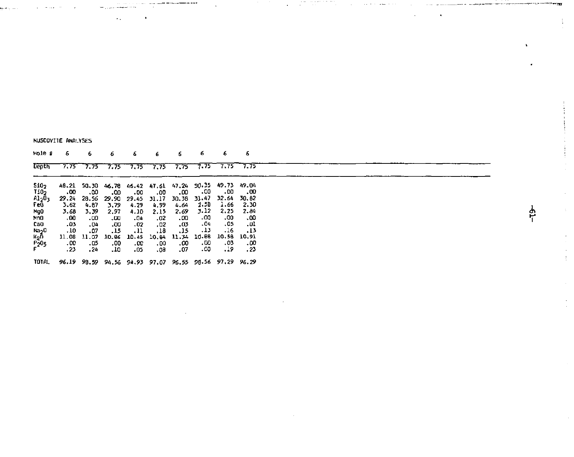| NUSCOVITE ANALYSES |  |  |
|--------------------|--|--|
|--------------------|--|--|

| Hole #                    | 6                                                     | 6                  | 6            | 6            | 6                             | 6            | 6             | 6                                               | 6            |
|---------------------------|-------------------------------------------------------|--------------------|--------------|--------------|-------------------------------|--------------|---------------|-------------------------------------------------|--------------|
| <b>Depth</b>              |                                                       |                    |              |              | 7.75 7.75 7.75 7.75 7.75 7.75 |              |               | $7.75$ $7.75$ $7.75$                            |              |
| 510 <sub>2</sub>          |                                                       |                    |              |              |                               |              |               | 48.21 50.30 46.78 46.42 47.61 47.24 50.35 49.73 | 49.04        |
| 110 <sub>2</sub><br>A1503 | .00                                                   | .00<br>29.24 28.56 | .co<br>29.90 | -00<br>29.45 | .00<br>31.17                  | .00<br>30.38 | - 00<br>31.47 | . 00<br>32.64                                   | .00<br>30.82 |
| Fe0                       | 3.62<br>3.68                                          | 4.67<br>3.39       | 3.79<br>2.97 | 4.29<br>4.10 | 4.99<br>2.15                  | 4.64<br>2.69 | 2.5B<br>3.12  | 1.66<br>2.25                                    | 2.30<br>2.84 |
| NgO.<br>MnD               | .00                                                   | .00                | .co          | -04          | .02                           | .00          | -00           | ٥٥.                                             | .00          |
| CaO<br>Na <sub>2</sub> 0  | .03<br>.10                                            | .04<br>.07         | .00<br>.15   | .02<br>.11   | .02<br>, 18                   | 03.<br>.15   | -04<br>.13    | .05<br>.16                                      | .01<br>.13   |
|                           | 11.08                                                 | 11.07              | 10.86        | 10.45        | 10.84                         | 11.34        | 10.88         | 10.58                                           | 10.91        |
| к <sub>2</sub> ñ<br>Р205  | .00<br>.23                                            | ۵5.<br>. 24        | .00<br>10.   | .co<br>05ء   | .00<br>.08                    | .00<br>.07   | .00.<br>.00   | . 03<br>19،                                     | .00<br>, 23  |
| <b>TOTAL</b>              | 96.19 98.59 94.56 94.93 97.07 95.55 98.56 97.29 96.29 |                    |              |              |                               |              |               |                                                 |              |

 $\omega_{\rm max} \sim 100$ 

 $\bar{z}$ 

 $\mathbf{v}$ 

 $\ddot{\phantom{0}}$  .

 $\mathcal{L}$ 

 $\frac{1}{1}$ 

 $\alpha$  . Also go as we use the constant of a spectrum of the set of  $\alpha$ 

 $\pmb{\cdot}$ 

÷.

Ą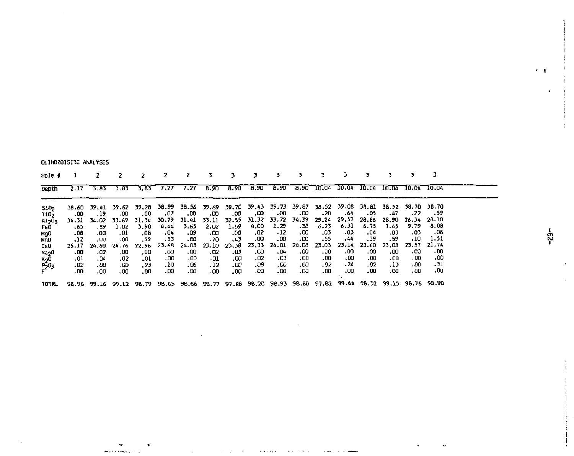CLINOZOISITE ANALYSES

| Hole #                     |               |               |                           | ,           |                                                                                                              | 2           |               |               |               |              |            |             |                                              |             |               |                     |              |  |
|----------------------------|---------------|---------------|---------------------------|-------------|--------------------------------------------------------------------------------------------------------------|-------------|---------------|---------------|---------------|--------------|------------|-------------|----------------------------------------------|-------------|---------------|---------------------|--------------|--|
| Depth                      |               | $2.17 - 5.85$ | 5.83                      | 3.83        | 7.27 7.27 8.90 8.90 8.90 8.90 8.90 10.04 10.04 10.04 10.04 10.04 10.04                                       |             |               |               |               |              |            |             |                                              |             |               |                     |              |  |
| S105<br>TiD <sub>2</sub>   | .00           | .19           | .00                       | .00         | 38.60 39.41 39.62 39.28 38.99 38.56 39.69 39.70 39.43 39.73 39.87 38.52 39.08 38.81 38.52 38.70 38.70<br>.07 | . DO        | -00           | .00           | .00           | .00.         | .00        | . 20        | - 64                                         | - 05        | . 47          | . 22                | . . 59       |  |
| Al <sub>2</sub> O3<br>FeD. | . 65          | . 89          | 34.31 34.02 33.69<br>1.02 | 3.90        | 31.34 30.79 31.41<br>4.44                                                                                    | 3.65        | 33.11<br>2.02 | 32.55<br>1.59 | 4.00          | 1.29         | - 38       | 6.23        | 31, 32 33.72 34.39 29.24 29.57 28.86<br>6.31 | 6.75        | 28.90<br>7.45 | 26.34 28.10<br>9.79 | 8.08         |  |
| NgO<br>MnO                 | .08<br>.12    | .00<br>.00    | .01<br>.00                | .08<br>. 99 | .04<br>. 53                                                                                                  | ۰۵۶.<br>.80 | .٥٥<br>- 70   | .00<br>-42    | ,02<br>,00    | .12<br>- 00  | .00<br>.co | .03<br>. 55 | -03<br>.44                                   | .04<br>.39  | .03<br>. 59   | ده.<br>. 10         | .08<br>1.51  |  |
| CaO<br>Na20                | 25.17<br>- 00 | 24.60<br>.02  | 24.76<br>.00              | .00         | 22.96 23.68 24.03<br>.co                                                                                     | - 00        | 23.10<br>- 02 | 23.38<br>.യ   | 23, 33<br>.00 | 24.01<br>-04 | .00        | 00ء         | 24.08 23.03 23.14 23.60<br>.00.              | .00         | 23.08<br>,00  | 23.57<br>.co        | 21.74<br>.00 |  |
| к <sub>2</sub> 0<br>Р205   | .01<br>.02    | .04<br>.00    | .02<br>.00                | -01<br>. 23 | .00<br>.10                                                                                                   | .00<br>. 06 | - 01<br>.12   | .00<br>.00    | .a2<br>-08    | - 03<br>.00  | .00<br>-00 | .00<br>.02  | .00<br>$-24$                                 | .00<br>- 02 | .00.<br>.13   | . 00<br>.00         | .00<br>.31   |  |
|                            | .00           | .00           | .00                       | .00         | .00                                                                                                          | . 00        | .00           | -00           | .00           | .00          | -00        | -00         | .00                                          | -00         | .co           | .00                 | .00          |  |
| <b>TOTAL</b>               |               |               |                           |             | 98.90 39.16 99.12 98.75 98.65 98.68 98.77 97.68 98.20 98.93 98.80 97.82 99.44 98.52 99.15 98.76 98.90        |             |               |               |               |              |            |             |                                              |             |               |                     |              |  |

នុំ